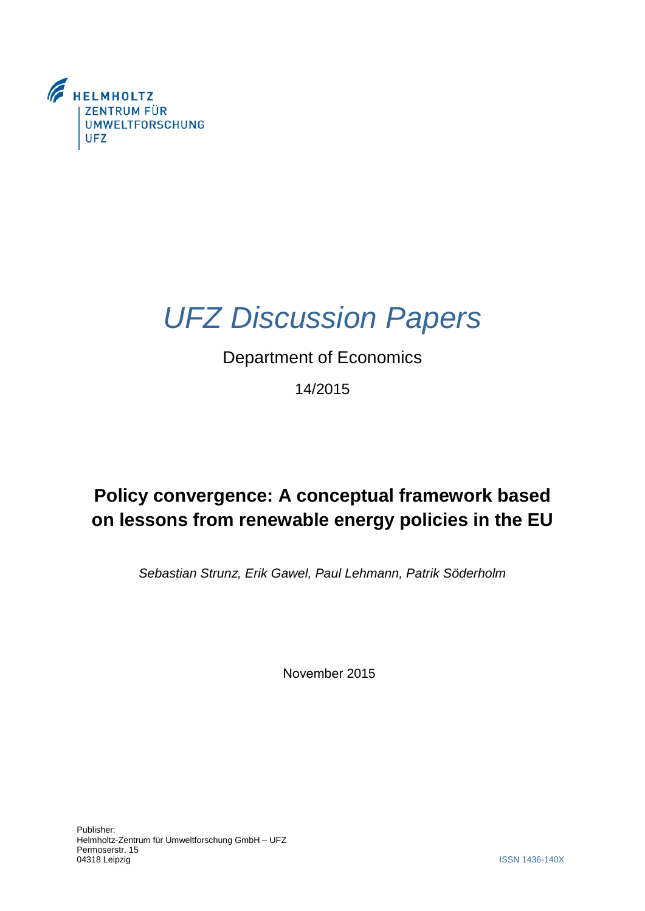

# *UFZ Discussion Papers*

### Department of Economics

14/2015

## **Policy convergence: A conceptual framework based on lessons from renewable energy policies in the EU**

*Sebastian Strunz, Erik Gawel, Paul Lehmann, Patrik Söderholm* 

November 2015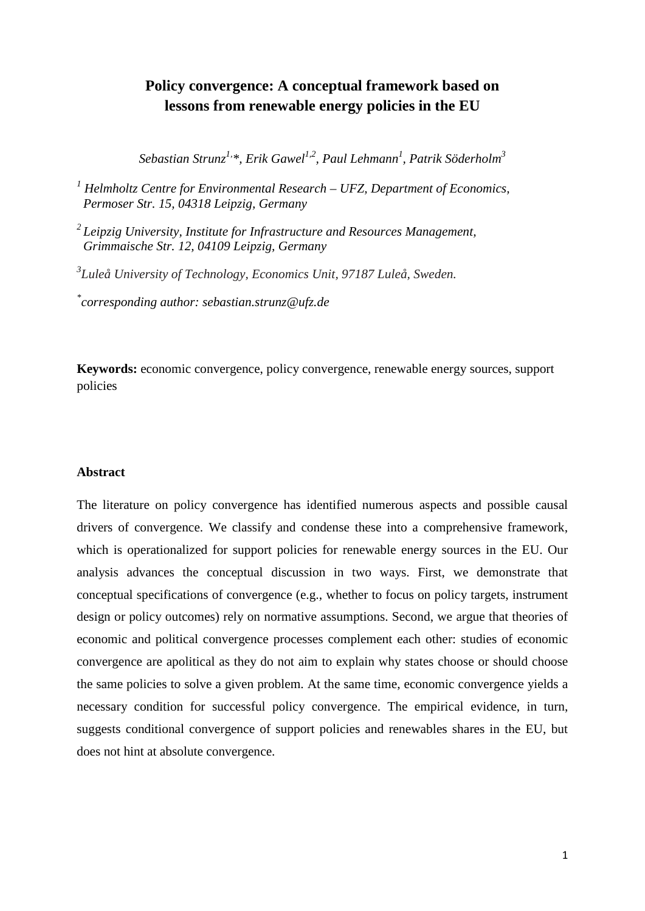### **Policy convergence: A conceptual framework based on lessons from renewable energy policies in the EU**

 $Sebastian Strunz<sup>1</sup>, *, Erik Gawel<sup>1,2</sup>, Paul Lehmann<sup>1</sup>, Patrick Söderholm<sup>3</sup>$ 

Permoser Str. 15, 04318 Leipzig, Germany <sup>1</sup> Helmholtz Centre for Environmental Research – UFZ, Department of Economics,

<sup>2</sup> Leipzig University, Institute for Infrastructure and Resources Management,  *Grimmaische Str. 12, 04109 Leipzig, Germany* 

*3 Luleå University of Technology, Economics Unit, 97187 Luleå, Sweden.* 

*\* corresponding author: sebastian.strunz@ufz.de* 

**Keywords:** economic convergence, policy convergence, renewable energy sources, support policies

#### **Abstract**

 analysis advances the conceptual discussion in two ways. First, we demonstrate that the same policies to solve a given problem. At the same time, economic convergence yields a suggests conditional convergence of support policies and renewables shares in the EU, but The literature on policy convergence has identified numerous aspects and possible causal drivers of convergence. We classify and condense these into a comprehensive framework, which is operationalized for support policies for renewable energy sources in the EU. Our conceptual specifications of convergence (e.g., whether to focus on policy targets, instrument design or policy outcomes) rely on normative assumptions. Second, we argue that theories of economic and political convergence processes complement each other: studies of economic convergence are apolitical as they do not aim to explain why states choose or should choose necessary condition for successful policy convergence. The empirical evidence, in turn, does not hint at absolute convergence.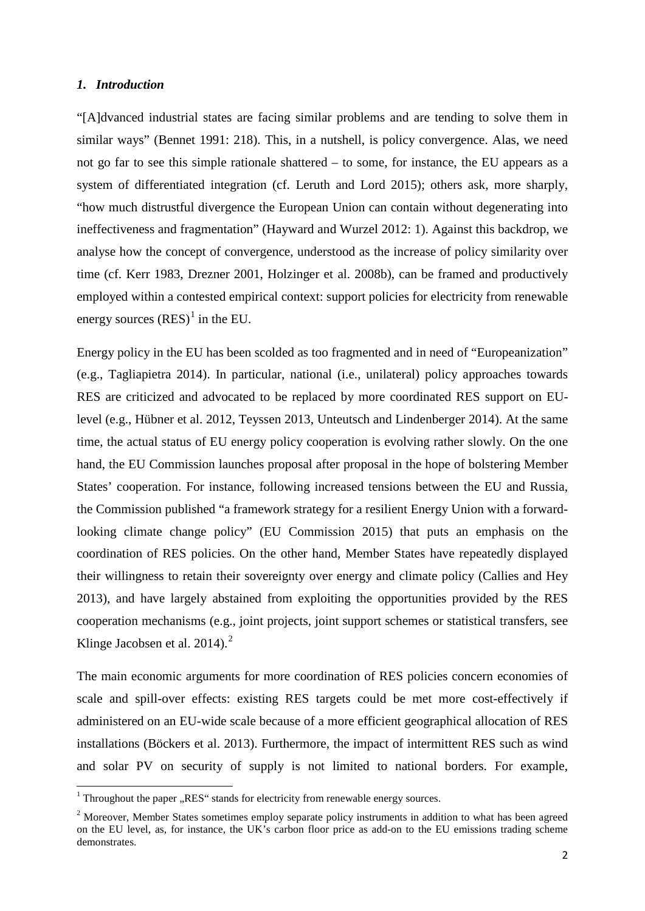#### *1. Introduction*

**.** 

 not go far to see this simple rationale shattered – to some, for instance, the EU appears as a ineffectiveness and fragmentation" (Hayward and Wurzel 2012: 1). Against this backdrop, we analyse how the concept of convergence, understood as the increase of policy similarity over "[A]dvanced industrial states are facing similar problems and are tending to solve them in similar ways" (Bennet 1991: 218). This, in a nutshell, is policy convergence. Alas, we need system of differentiated integration (cf. Leruth and Lord 2015); others ask, more sharply, "how much distrustful divergence the European Union can contain without degenerating into time (cf. Kerr 1983, Drezner 2001, Holzinger et al. 2008b), can be framed and productively employed within a contested empirical context: support policies for electricity from renewable energy sources  $(RES)^1$  $(RES)^1$  in the EU.

 RES are criticized and advocated to be replaced by more coordinated RES support on EU- States' cooperation. For instance, following increased tensions between the EU and Russia, Energy policy in the EU has been scolded as too fragmented and in need of "Europeanization" (e.g., Tagliapietra 2014). In particular, national (i.e., unilateral) policy approaches towards level (e.g., Hübner et al. 2012, Teyssen 2013, Unteutsch and Lindenberger 2014). At the same time, the actual status of EU energy policy cooperation is evolving rather slowly. On the one hand, the EU Commission launches proposal after proposal in the hope of bolstering Member the Commission published "a framework strategy for a resilient Energy Union with a forwardlooking climate change policy" (EU Commission 2015) that puts an emphasis on the coordination of RES policies. On the other hand, Member States have repeatedly displayed their willingness to retain their sovereignty over energy and climate policy (Callies and Hey 2013), and have largely abstained from exploiting the opportunities provided by the RES cooperation mechanisms (e.g., joint projects, joint support schemes or statistical transfers, see Klinge Jacobsen et al.  $2014$ .<sup>2</sup>

The main economic arguments for more coordination of RES policies concern economies of scale and spill-over effects: existing RES targets could be met more cost-effectively if administered on an EU-wide scale because of a more efficient geographical allocation of RES installations (Böckers et al. 2013). Furthermore, the impact of intermittent RES such as wind and solar PV on security of supply is not limited to national borders. For example,

<span id="page-2-0"></span> $1$  Throughout the paper "RES" stands for electricity from renewable energy sources.

<span id="page-2-1"></span> on the EU level, as, for instance, the UK's carbon floor price as add-on to the EU emissions trading scheme <sup>2</sup> Moreover, Member States sometimes employ separate policy instruments in addition to what has been agreed demonstrates.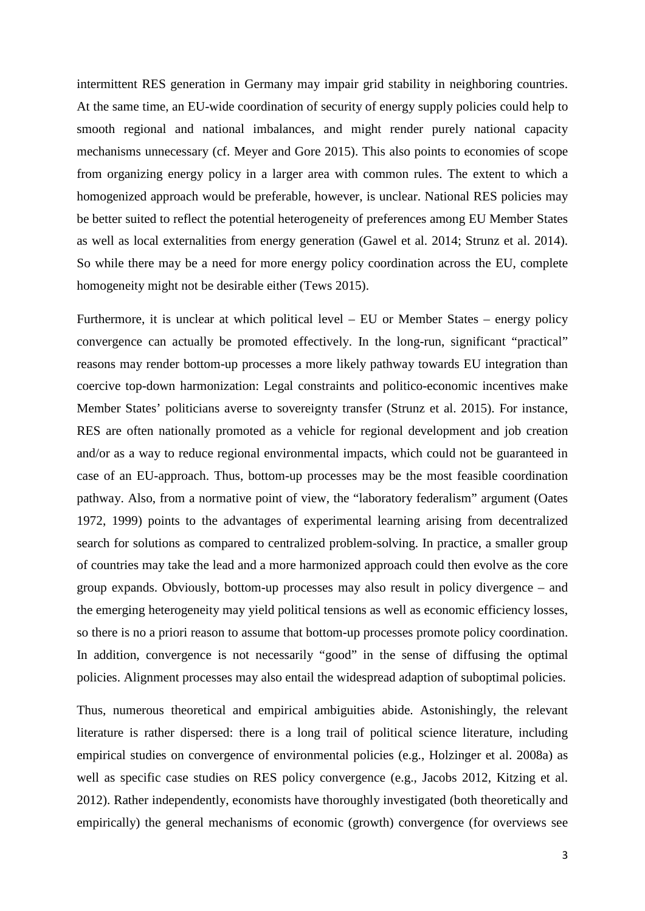intermittent RES generation in Germany may impair grid stability in neighboring countries. from organizing energy policy in a larger area with common rules. The extent to which a be better suited to reflect the potential heterogeneity of preferences among EU Member States as well as local externalities from energy generation (Gawel et al. 2014; Strunz et al. 2014). homogeneity might not be desirable either (Tews 2015). At the same time, an EU-wide coordination of security of energy supply policies could help to smooth regional and national imbalances, and might render purely national capacity mechanisms unnecessary (cf. Meyer and Gore 2015). This also points to economies of scope homogenized approach would be preferable, however, is unclear. National RES policies may So while there may be a need for more energy policy coordination across the EU, complete

 reasons may render bottom-up processes a more likely pathway towards EU integration than coercive top-down harmonization: Legal constraints and politico-economic incentives make RES are often nationally promoted as a vehicle for regional development and job creation search for solutions as compared to centralized problem-solving. In practice, a smaller group group expands. Obviously, bottom-up processes may also result in policy divergence – and Furthermore, it is unclear at which political level – EU or Member States – energy policy convergence can actually be promoted effectively. In the long-run, significant "practical" Member States' politicians averse to sovereignty transfer (Strunz et al. 2015). For instance, and/or as a way to reduce regional environmental impacts, which could not be guaranteed in case of an EU-approach. Thus, bottom-up processes may be the most feasible coordination pathway. Also, from a normative point of view, the "laboratory federalism" argument (Oates 1972, 1999) points to the advantages of experimental learning arising from decentralized of countries may take the lead and a more harmonized approach could then evolve as the core the emerging heterogeneity may yield political tensions as well as economic efficiency losses, so there is no a priori reason to assume that bottom-up processes promote policy coordination. In addition, convergence is not necessarily "good" in the sense of diffusing the optimal policies. Alignment processes may also entail the widespread adaption of suboptimal policies.

 Thus, numerous theoretical and empirical ambiguities abide. Astonishingly, the relevant empirically) the general mechanisms of economic (growth) convergence (for overviews see literature is rather dispersed: there is a long trail of political science literature, including empirical studies on convergence of environmental policies (e.g., Holzinger et al. 2008a) as well as specific case studies on RES policy convergence (e.g., Jacobs 2012, Kitzing et al. 2012). Rather independently, economists have thoroughly investigated (both theoretically and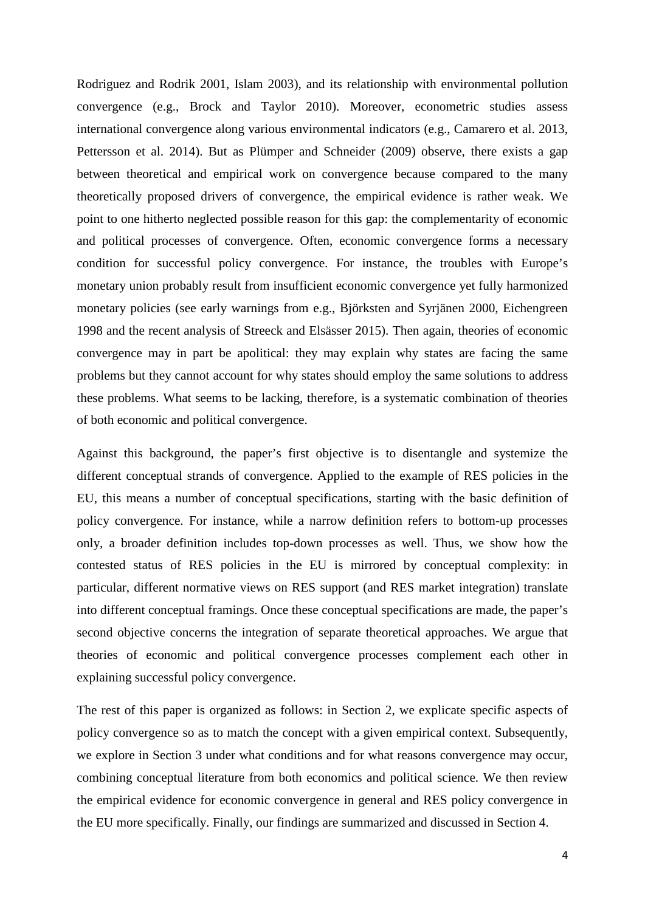point to one hitherto neglected possible reason for this gap: the complementarity of economic and political processes of convergence. Often, economic convergence forms a necessary Rodriguez and Rodrik 2001, Islam 2003), and its relationship with environmental pollution convergence (e.g., Brock and Taylor 2010). Moreover, econometric studies assess international convergence along various environmental indicators (e.g., Camarero et al. 2013, Pettersson et al. 2014). But as Plümper and Schneider (2009) observe, there exists a gap between theoretical and empirical work on convergence because compared to the many theoretically proposed drivers of convergence, the empirical evidence is rather weak. We condition for successful policy convergence. For instance, the troubles with Europe's monetary union probably result from insufficient economic convergence yet fully harmonized monetary policies (see early warnings from e.g., Björksten and Syrjänen 2000, Eichengreen 1998 and the recent analysis of Streeck and Elsässer 2015). Then again, theories of economic convergence may in part be apolitical: they may explain why states are facing the same problems but they cannot account for why states should employ the same solutions to address these problems. What seems to be lacking, therefore, is a systematic combination of theories of both economic and political convergence.

 only, a broader definition includes top-down processes as well. Thus, we show how the second objective concerns the integration of separate theoretical approaches. We argue that explaining successful policy convergence. explaining successful policy convergence.<br>The rest of this paper is organized as follows: in Section 2, we explicate specific aspects of Against this background, the paper's first objective is to disentangle and systemize the different conceptual strands of convergence. Applied to the example of RES policies in the EU, this means a number of conceptual specifications, starting with the basic definition of policy convergence. For instance, while a narrow definition refers to bottom-up processes contested status of RES policies in the EU is mirrored by conceptual complexity: in particular, different normative views on RES support (and RES market integration) translate into different conceptual framings. Once these conceptual specifications are made, the paper's theories of economic and political convergence processes complement each other in

policy convergence so as to match the concept with a given empirical context. Subsequently, we explore in Section 3 under what conditions and for what reasons convergence may occur, combining conceptual literature from both economics and political science. We then review the empirical evidence for economic convergence in general and RES policy convergence in the EU more specifically. Finally, our findings are summarized and discussed in Section 4.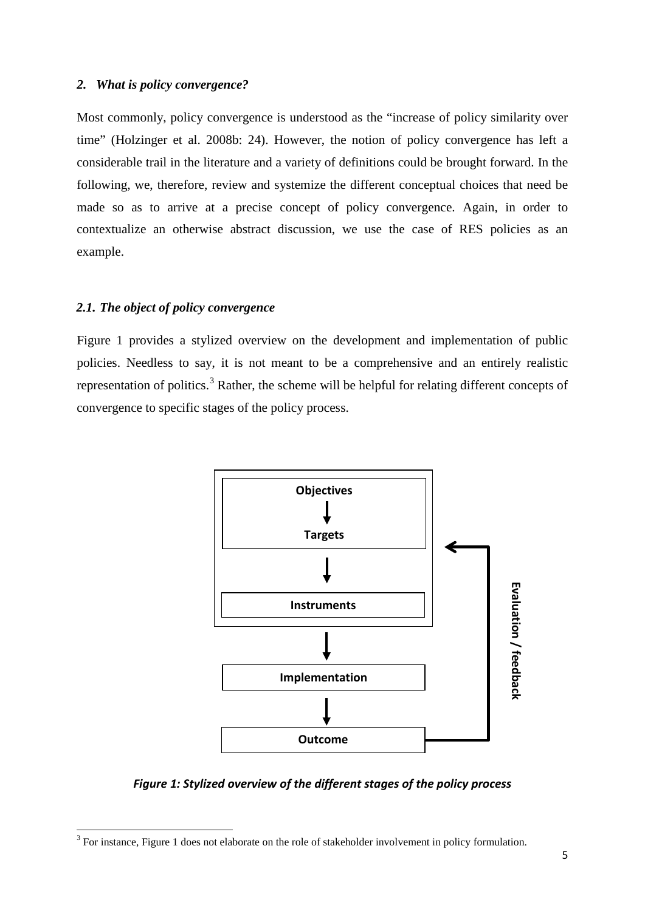#### *2. What is policy convergence?*

Most commonly, policy convergence is understood as the "increase of policy similarity over time" (Holzinger et al. 2008b: 24). However, the notion of policy convergence has left a considerable trail in the literature and a variety of definitions could be brought forward. In the following, we, therefore, review and systemize the different conceptual choices that need be made so as to arrive at a precise concept of policy convergence. Again, in order to contextualize an otherwise abstract discussion, we use the case of RES policies as an example.

#### *2.1. The object of policy convergence*

 $\overline{a}$ 

representation of politics.<sup>3</sup> Rather, the scheme will be helpful for relating different concepts of Figure 1 provides a stylized overview on the development and implementation of public policies. Needless to say, it is not meant to be a comprehensive and an entirely realistic convergence to specific stages of the policy process.



*Figure 1: Stylized overview of the different stages of the policy process* 

<span id="page-5-0"></span> $3$  For instance, Figure 1 does not elaborate on the role of stakeholder involvement in policy formulation.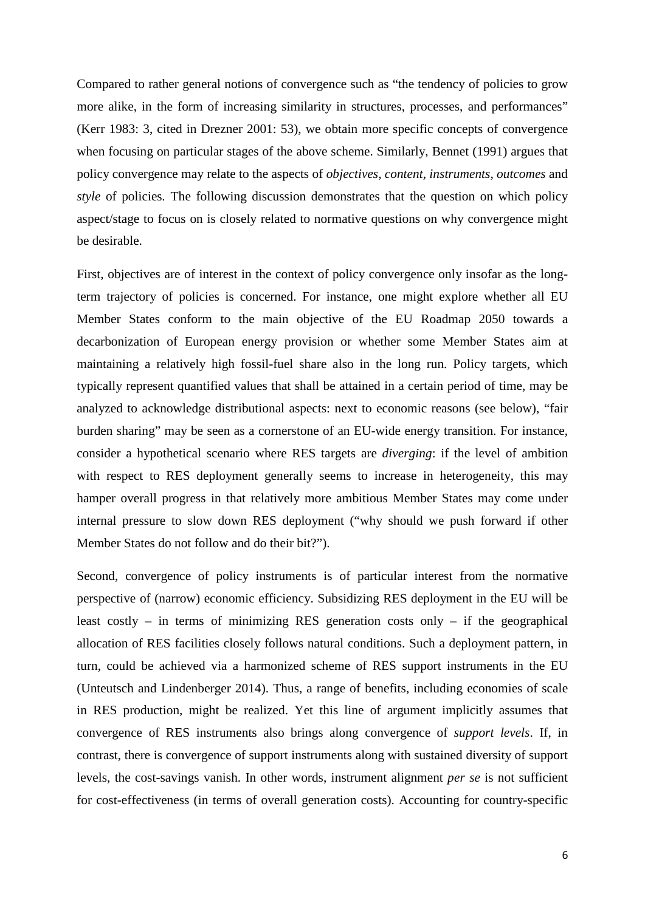Compared to rather general notions of convergence such as "the tendency of policies to grow more alike, in the form of increasing similarity in structures, processes, and performances" (Kerr 1983: 3, cited in Drezner 2001: 53), we obtain more specific concepts of convergence when focusing on particular stages of the above scheme. Similarly, Bennet (1991) argues that policy convergence may relate to the aspects of *objectives, content, instruments, outcomes* and *style* of policies*.* The following discussion demonstrates that the question on which policy aspect/stage to focus on is closely related to normative questions on why convergence might be desirable.

 decarbonization of European energy provision or whether some Member States aim at burden sharing" may be seen as a cornerstone of an EU-wide energy transition. For instance, consider a hypothetical scenario where RES targets are *diverging*: if the level of ambition hamper overall progress in that relatively more ambitious Member States may come under First, objectives are of interest in the context of policy convergence only insofar as the longterm trajectory of policies is concerned. For instance, one might explore whether all EU Member States conform to the main objective of the EU Roadmap 2050 towards a maintaining a relatively high fossil-fuel share also in the long run. Policy targets, which typically represent quantified values that shall be attained in a certain period of time, may be analyzed to acknowledge distributional aspects: next to economic reasons (see below), "fair with respect to RES deployment generally seems to increase in heterogeneity, this may internal pressure to slow down RES deployment ("why should we push forward if other Member States do not follow and do their bit?").

 least costly – in terms of minimizing RES generation costs only – if the geographical Second, convergence of policy instruments is of particular interest from the normative perspective of (narrow) economic efficiency. Subsidizing RES deployment in the EU will be allocation of RES facilities closely follows natural conditions. Such a deployment pattern, in turn, could be achieved via a harmonized scheme of RES support instruments in the EU (Unteutsch and Lindenberger 2014). Thus, a range of benefits, including economies of scale in RES production, might be realized. Yet this line of argument implicitly assumes that convergence of RES instruments also brings along convergence of *support levels*. If, in contrast, there is convergence of support instruments along with sustained diversity of support levels, the cost-savings vanish. In other words, instrument alignment *per se* is not sufficient for cost-effectiveness (in terms of overall generation costs). Accounting for country-specific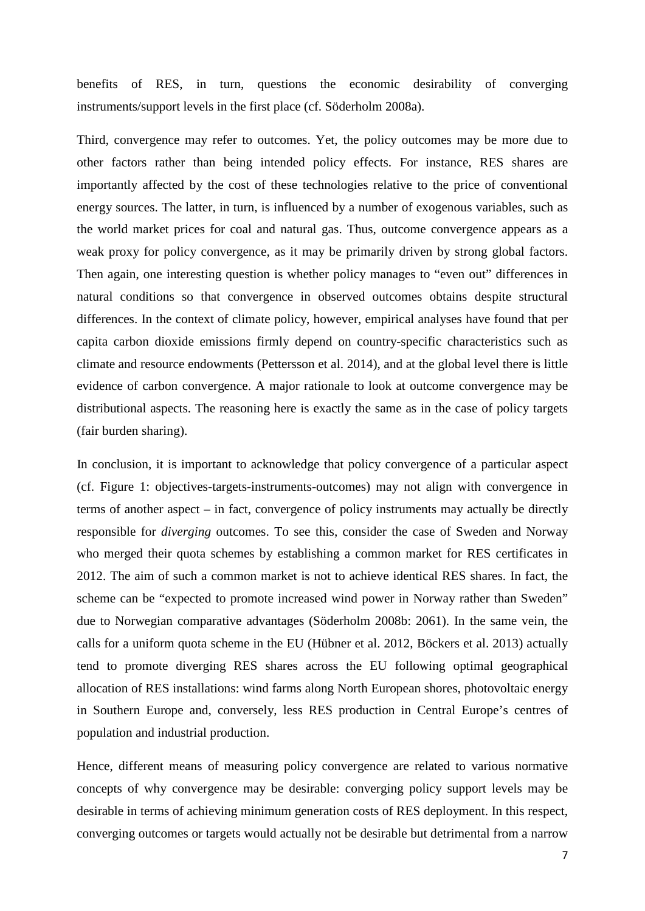benefits of RES, in turn, questions the economic desirability of converging instruments/support levels in the first place (cf. Söderholm 2008a).

 importantly affected by the cost of these technologies relative to the price of conventional the world market prices for coal and natural gas. Thus, outcome convergence appears as a Third, convergence may refer to outcomes. Yet, the policy outcomes may be more due to other factors rather than being intended policy effects. For instance, RES shares are energy sources. The latter, in turn, is influenced by a number of exogenous variables, such as weak proxy for policy convergence, as it may be primarily driven by strong global factors. Then again, one interesting question is whether policy manages to "even out" differences in natural conditions so that convergence in observed outcomes obtains despite structural differences. In the context of climate policy, however, empirical analyses have found that per capita carbon dioxide emissions firmly depend on country-specific characteristics such as climate and resource endowments (Pettersson et al. 2014), and at the global level there is little evidence of carbon convergence. A major rationale to look at outcome convergence may be distributional aspects. The reasoning here is exactly the same as in the case of policy targets (fair burden sharing).

 who merged their quota schemes by establishing a common market for RES certificates in calls for a uniform quota scheme in the EU (Hübner et al. 2012, Böckers et al. 2013) actually In conclusion, it is important to acknowledge that policy convergence of a particular aspect (cf. Figure 1: objectives-targets-instruments-outcomes) may not align with convergence in terms of another aspect – in fact, convergence of policy instruments may actually be directly responsible for *diverging* outcomes. To see this, consider the case of Sweden and Norway 2012. The aim of such a common market is not to achieve identical RES shares. In fact, the scheme can be "expected to promote increased wind power in Norway rather than Sweden" due to Norwegian comparative advantages (Söderholm 2008b: 2061). In the same vein, the tend to promote diverging RES shares across the EU following optimal geographical allocation of RES installations: wind farms along North European shores, photovoltaic energy in Southern Europe and, conversely, less RES production in Central Europe's centres of population and industrial production.

 Hence, different means of measuring policy convergence are related to various normative desirable in terms of achieving minimum generation costs of RES deployment. In this respect, concepts of why convergence may be desirable: converging policy support levels may be converging outcomes or targets would actually not be desirable but detrimental from a narrow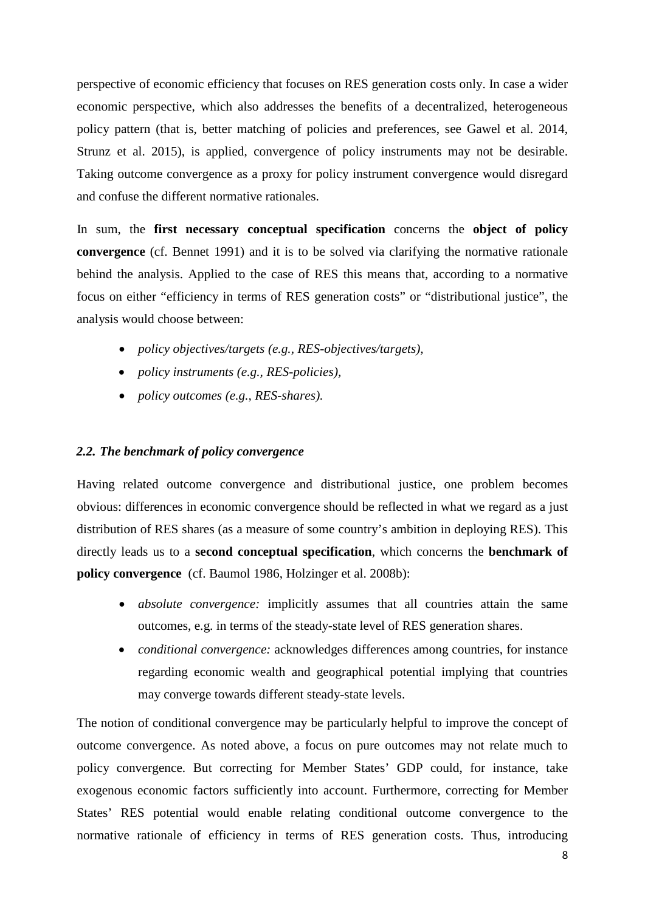perspective of economic efficiency that focuses on RES generation costs only. In case a wider economic perspective, which also addresses the benefits of a decentralized, heterogeneous policy pattern (that is, better matching of policies and preferences, see Gawel et al. 2014, Strunz et al. 2015), is applied, convergence of policy instruments may not be desirable. Taking outcome convergence as a proxy for policy instrument convergence would disregard and confuse the different normative rationales.

In sum, the **first necessary conceptual specification** concerns the **object of policy convergence** (cf. Bennet 1991) and it is to be solved via clarifying the normative rationale behind the analysis. Applied to the case of RES this means that, according to a normative focus on either "efficiency in terms of RES generation costs" or "distributional justice", the analysis would choose between:

- • *policy objectives/targets (e.g., RES-objectives/targets),*
- • *policy instruments (e.g., RES-policies),*
- • *policy outcomes (e.g., RES-shares).*

#### *2.2. The benchmark of policy convergence*

 obvious: differences in economic convergence should be reflected in what we regard as a just  **policy convergence** (cf. Baumol 1986, Holzinger et al. 2008b): Having related outcome convergence and distributional justice, one problem becomes distribution of RES shares (as a measure of some country's ambition in deploying RES). This directly leads us to a **second conceptual specification**, which concerns the **benchmark of** 

- *absolute convergence:* implicitly assumes that all countries attain the same outcomes, e.g. in terms of the steady-state level of RES generation shares.
- *conditional convergence:* acknowledges differences among countries, for instance regarding economic wealth and geographical potential implying that countries may converge towards different steady-state levels.

 The notion of conditional convergence may be particularly helpful to improve the concept of outcome convergence. As noted above, a focus on pure outcomes may not relate much to exogenous economic factors sufficiently into account. Furthermore, correcting for Member policy convergence. But correcting for Member States' GDP could, for instance, take States' RES potential would enable relating conditional outcome convergence to the normative rationale of efficiency in terms of RES generation costs. Thus, introducing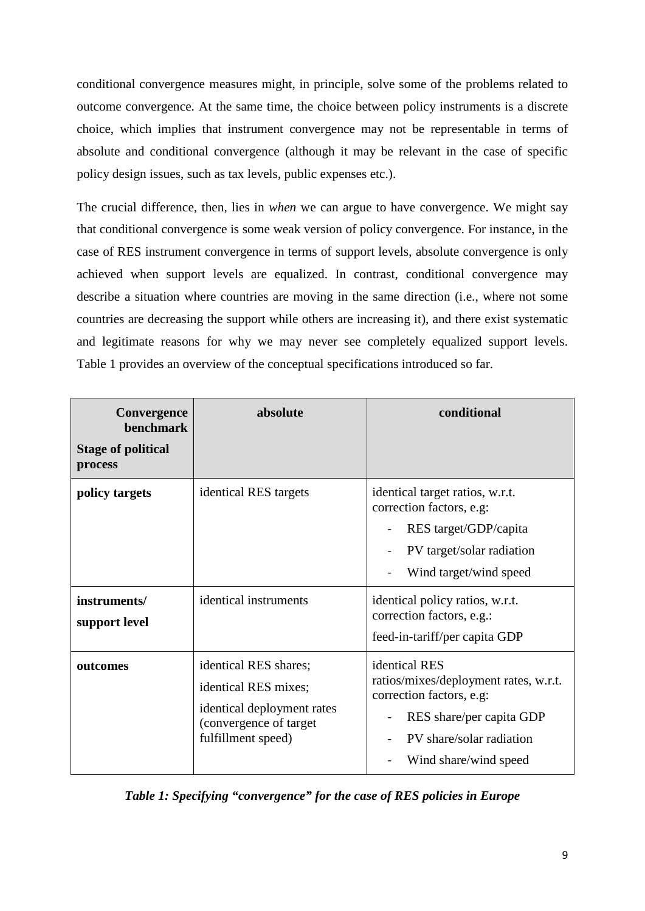conditional convergence measures might, in principle, solve some of the problems related to outcome convergence. At the same time, the choice between policy instruments is a discrete choice, which implies that instrument convergence may not be representable in terms of absolute and conditional convergence (although it may be relevant in the case of specific policy design issues, such as tax levels, public expenses etc.).

The crucial difference, then, lies in *when* we can argue to have convergence. We might say that conditional convergence is some weak version of policy convergence. For instance, in the case of RES instrument convergence in terms of support levels, absolute convergence is only achieved when support levels are equalized. In contrast, conditional convergence may describe a situation where countries are moving in the same direction (i.e., where not some countries are decreasing the support while others are increasing it), and there exist systematic and legitimate reasons for why we may never see completely equalized support levels. Table 1 provides an overview of the conceptual specifications introduced so far.

| Convergence<br>benchmark<br><b>Stage of political</b><br>process | absolute                                                                                                                    | conditional                                                                                                                                                                                                                                  |  |
|------------------------------------------------------------------|-----------------------------------------------------------------------------------------------------------------------------|----------------------------------------------------------------------------------------------------------------------------------------------------------------------------------------------------------------------------------------------|--|
| policy targets<br>instruments/<br>support level                  | identical RES targets<br>identical instruments                                                                              | identical target ratios, w.r.t.<br>correction factors, e.g:<br>RES target/GDP/capita<br>PV target/solar radiation<br>Wind target/wind speed<br>identical policy ratios, w.r.t.<br>correction factors, e.g.:<br>feed-in-tariff/per capita GDP |  |
| outcomes                                                         | identical RES shares;<br>identical RES mixes;<br>identical deployment rates<br>(convergence of target<br>fulfillment speed) | identical RES<br>ratios/mixes/deployment rates, w.r.t.<br>correction factors, e.g:<br>RES share/per capita GDP<br>PV share/solar radiation<br>Wind share/wind speed                                                                          |  |

*Table 1: Specifying "convergence" for the case of RES policies in Europe*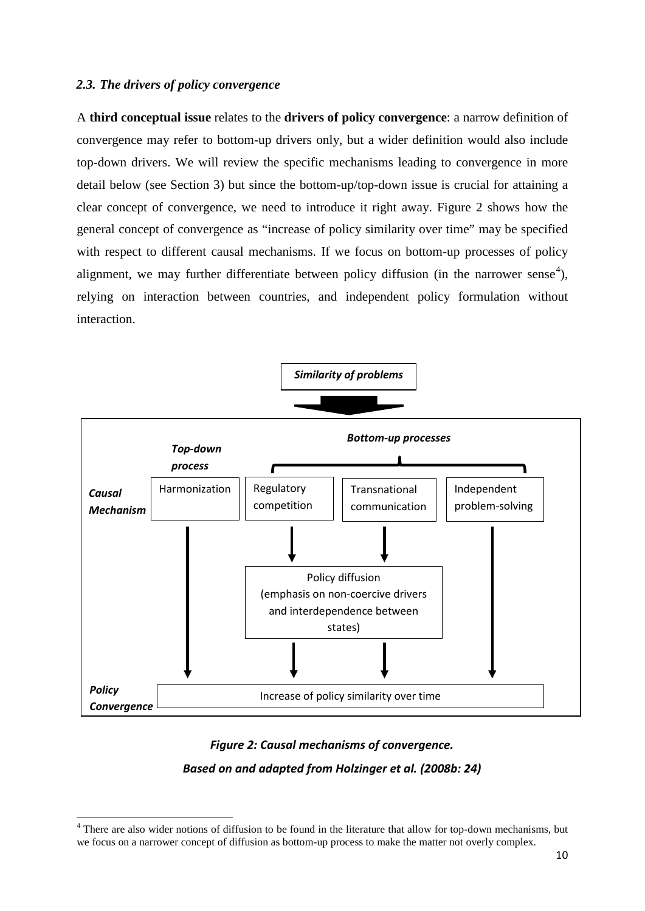#### *2.3. The drivers of policy convergence*

**.** 

 A **third conceptual issue** relates to the **drivers of policy convergence**: a narrow definition of detail below (see Section 3) but since the bottom-up/top-down issue is crucial for attaining a convergence may refer to bottom-up drivers only, but a wider definition would also include top-down drivers. We will review the specific mechanisms leading to convergence in more clear concept of convergence, we need to introduce it right away. Figure 2 shows how the general concept of convergence as "increase of policy similarity over time" may be specified with respect to different causal mechanisms. If we focus on bottom-up processes of policy alignment, we may further differentiate between policy diffusion (in the narrower sense<sup>[4](#page-10-0)</sup>), relying on interaction between countries, and independent policy formulation without interaction.



#### *Figure 2: Causal mechanisms of convergence.*

#### *Based on and adapted from Holzinger et al. (2008b: 24)*

<span id="page-10-0"></span> $4$  There are also wider notions of diffusion to be found in the literature that allow for top-down mechanisms, but we focus on a narrower concept of diffusion as bottom-up process to make the matter not overly complex.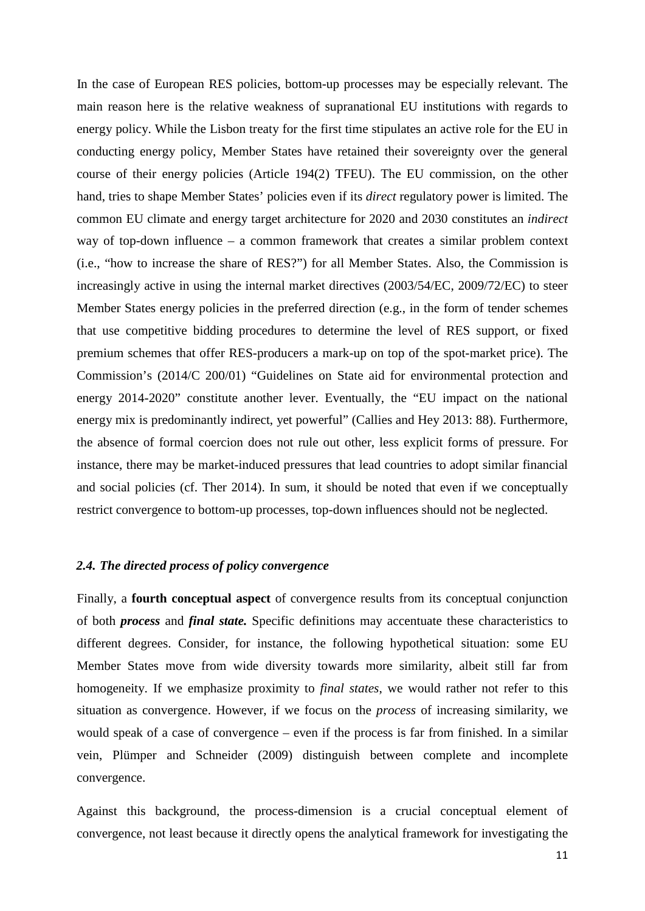In the case of European RES policies, bottom-up processes may be especially relevant. The hand, tries to shape Member States' policies even if its *direct* regulatory power is limited. The main reason here is the relative weakness of supranational EU institutions with regards to energy policy. While the Lisbon treaty for the first time stipulates an active role for the EU in conducting energy policy, Member States have retained their sovereignty over the general course of their energy policies (Article 194(2) TFEU). The EU commission, on the other common EU climate and energy target architecture for 2020 and 2030 constitutes an *indirect*  way of top-down influence – a common framework that creates a similar problem context (i.e., "how to increase the share of RES?") for all Member States. Also, the Commission is increasingly active in using the internal market directives (2003/54/EC, 2009/72/EC) to steer Member States energy policies in the preferred direction (e.g., in the form of tender schemes that use competitive bidding procedures to determine the level of RES support, or fixed premium schemes that offer RES-producers a mark-up on top of the spot-market price). The Commission's (2014/C 200/01) "Guidelines on State aid for environmental protection and energy 2014-2020" constitute another lever. Eventually, the "EU impact on the national energy mix is predominantly indirect, yet powerful" (Callies and Hey 2013: 88). Furthermore, the absence of formal coercion does not rule out other, less explicit forms of pressure. For instance, there may be market-induced pressures that lead countries to adopt similar financial and social policies (cf. Ther 2014). In sum, it should be noted that even if we conceptually restrict convergence to bottom-up processes, top-down influences should not be neglected.

#### *2.4. The directed process of policy convergence*

 of both *process* and *final state.* Specific definitions may accentuate these characteristics to homogeneity. If we emphasize proximity to *final states*, we would rather not refer to this Finally, a **fourth conceptual aspect** of convergence results from its conceptual conjunction different degrees. Consider, for instance, the following hypothetical situation: some EU Member States move from wide diversity towards more similarity, albeit still far from situation as convergence. However, if we focus on the *process* of increasing similarity, we would speak of a case of convergence – even if the process is far from finished. In a similar vein, Plümper and Schneider (2009) distinguish between complete and incomplete convergence.

Against this background, the process-dimension is a crucial conceptual element of convergence, not least because it directly opens the analytical framework for investigating the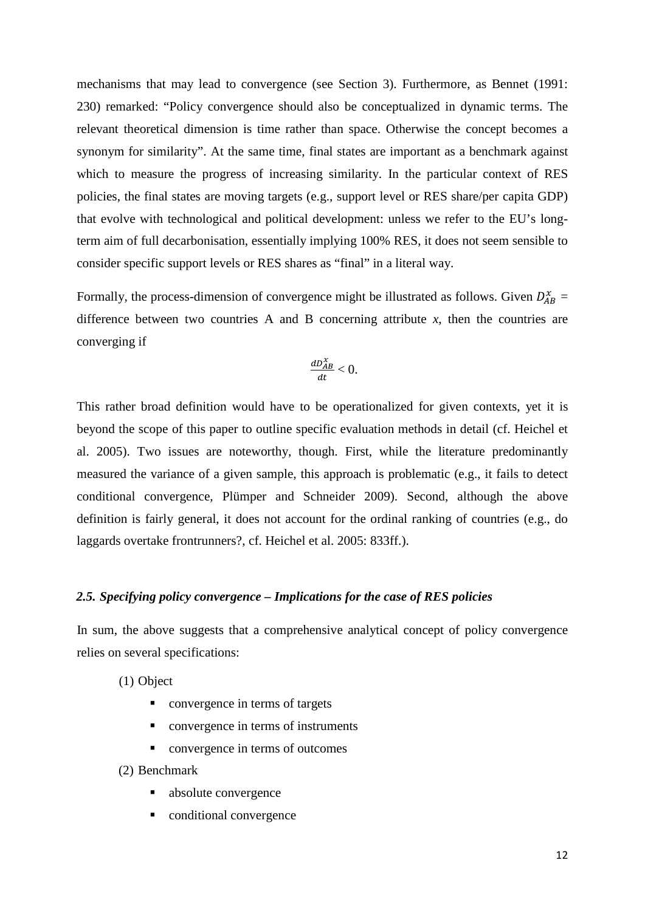mechanisms that may lead to convergence (see Section 3). Furthermore, as Bennet (1991: relevant theoretical dimension is time rather than space. Otherwise the concept becomes a 230) remarked: "Policy convergence should also be conceptualized in dynamic terms. The synonym for similarity". At the same time, final states are important as a benchmark against which to measure the progress of increasing similarity. In the particular context of RES policies, the final states are moving targets (e.g., support level or RES share/per capita GDP) that evolve with technological and political development: unless we refer to the EU's longterm aim of full decarbonisation, essentially implying 100% RES, it does not seem sensible to consider specific support levels or RES shares as "final" in a literal way.

Formally, the process-dimension of convergence might be illustrated as follows. Given  $D_{AB}^x =$ difference between two countries A and B concerning attribute  $x$ , then the countries are converging if

$$
\frac{dD_{AB}^x}{dt}<0.
$$

 measured the variance of a given sample, this approach is problematic (e.g., it fails to detect This rather broad definition would have to be operationalized for given contexts, yet it is beyond the scope of this paper to outline specific evaluation methods in detail (cf. Heichel et al. 2005). Two issues are noteworthy, though. First, while the literature predominantly conditional convergence, Plümper and Schneider 2009). Second, although the above definition is fairly general, it does not account for the ordinal ranking of countries (e.g., do laggards overtake frontrunners?, cf. Heichel et al. 2005: 833ff.).

#### *2.5. Specifying policy convergence – Implications for the case of RES policies*

In sum, the above suggests that a comprehensive analytical concept of policy convergence relies on several specifications:

(1) Object

- convergence in terms of targets
- convergence in terms of instruments
- **•** convergence in terms of outcomes

(2) Benchmark

- absolute convergence
- **conditional convergence**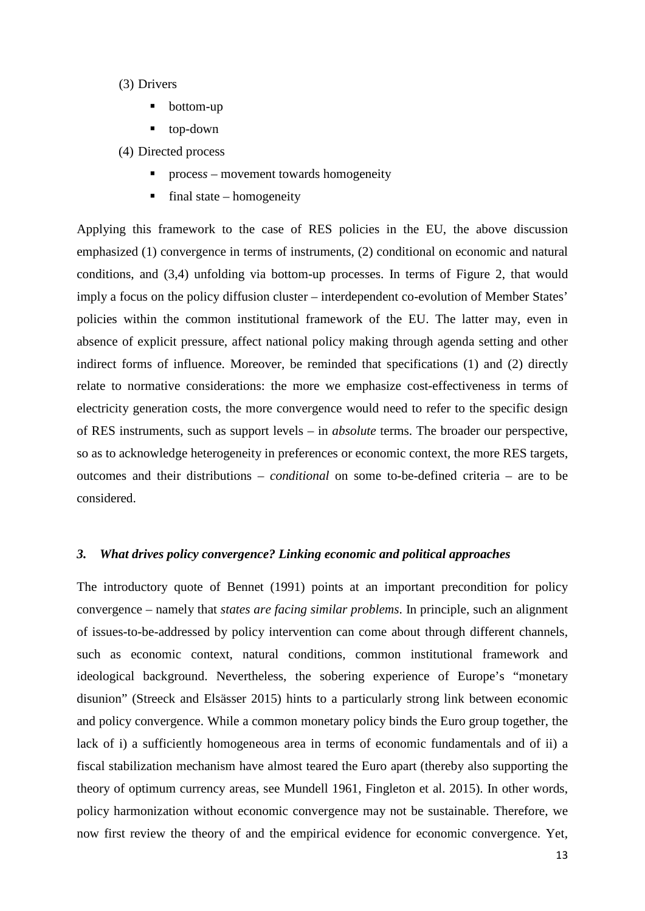#### (3) Drivers

- bottom-up
- top-down

(4) Directed process

- **Perocess** movement towards homogeneity
- final state  $-$  homogeneity

 conditions, and (3,4) unfolding via bottom-up processes. In terms of Figure 2, that would relate to normative considerations: the more we emphasize cost-effectiveness in terms of of RES instruments, such as support levels – in *absolute* terms. The broader our perspective, final state – homogeneity Applying this framework to the case of RES policies in the EU, the above discussion emphasized (1) convergence in terms of instruments, (2) conditional on economic and natural imply a focus on the policy diffusion cluster – interdependent co-evolution of Member States' policies within the common institutional framework of the EU. The latter may, even in absence of explicit pressure, affect national policy making through agenda setting and other indirect forms of influence. Moreover, be reminded that specifications (1) and (2) directly electricity generation costs, the more convergence would need to refer to the specific design so as to acknowledge heterogeneity in preferences or economic context, the more RES targets, outcomes and their distributions – *conditional* on some to-be-defined criteria – are to be considered.

#### *3. What drives policy convergence? Linking economic and political approaches*

 ideological background. Nevertheless, the sobering experience of Europe's "monetary disunion" (Streeck and Elsässer 2015) hints to a particularly strong link between economic lack of i) a sufficiently homogeneous area in terms of economic fundamentals and of ii) a now first review the theory of and the empirical evidence for economic convergence. Yet, The introductory quote of Bennet (1991) points at an important precondition for policy convergence – namely that *states are facing similar problems*. In principle, such an alignment of issues-to-be-addressed by policy intervention can come about through different channels, such as economic context, natural conditions, common institutional framework and and policy convergence. While a common monetary policy binds the Euro group together, the fiscal stabilization mechanism have almost teared the Euro apart (thereby also supporting the theory of optimum currency areas, see Mundell 1961, Fingleton et al. 2015). In other words, policy harmonization without economic convergence may not be sustainable. Therefore, we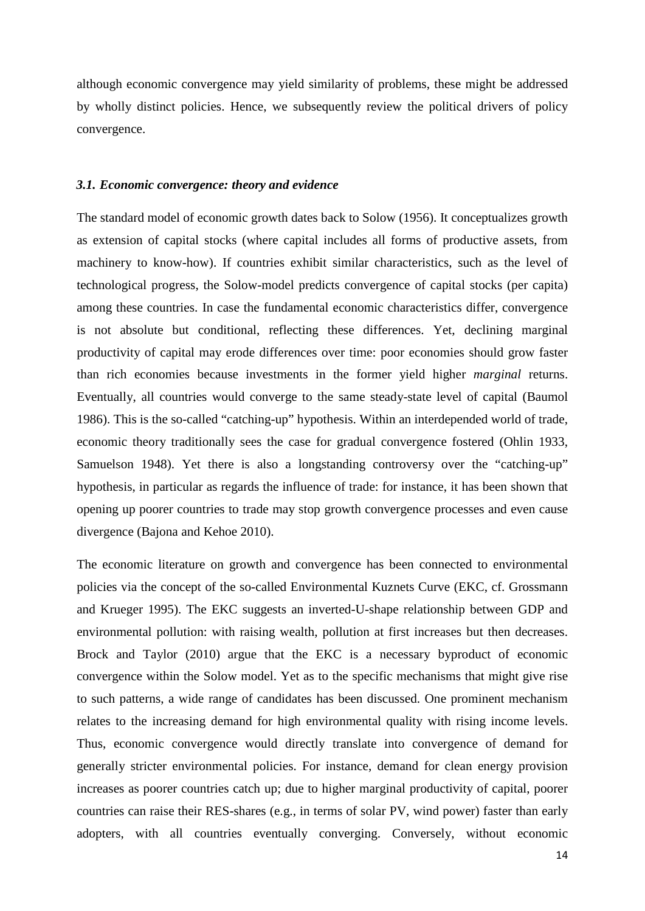by wholly distinct policies. Hence, we subsequently review the political drivers of policy although economic convergence may yield similarity of problems, these might be addressed convergence.

#### *3.1. Economic convergence: theory and evidence*

 technological progress, the Solow-model predicts convergence of capital stocks (per capita) economic theory traditionally sees the case for gradual convergence fostered (Ohlin 1933, The standard model of economic growth dates back to Solow (1956). It conceptualizes growth as extension of capital stocks (where capital includes all forms of productive assets, from machinery to know-how). If countries exhibit similar characteristics, such as the level of among these countries. In case the fundamental economic characteristics differ, convergence is not absolute but conditional, reflecting these differences. Yet, declining marginal productivity of capital may erode differences over time: poor economies should grow faster than rich economies because investments in the former yield higher *marginal* returns. Eventually, all countries would converge to the same steady-state level of capital (Baumol 1986). This is the so-called "catching-up" hypothesis. Within an interdepended world of trade, Samuelson 1948). Yet there is also a longstanding controversy over the "catching-up" hypothesis, in particular as regards the influence of trade: for instance, it has been shown that opening up poorer countries to trade may stop growth convergence processes and even cause divergence (Bajona and Kehoe 2010).

 policies via the concept of the so-called Environmental Kuznets Curve (EKC, cf. Grossmann Brock and Taylor (2010) argue that the EKC is a necessary byproduct of economic to such patterns, a wide range of candidates has been discussed. One prominent mechanism countries can raise their RES-shares (e.g., in terms of solar PV, wind power) faster than early The economic literature on growth and convergence has been connected to environmental and Krueger 1995). The EKC suggests an inverted-U-shape relationship between GDP and environmental pollution: with raising wealth, pollution at first increases but then decreases. convergence within the Solow model. Yet as to the specific mechanisms that might give rise relates to the increasing demand for high environmental quality with rising income levels. Thus, economic convergence would directly translate into convergence of demand for generally stricter environmental policies. For instance, demand for clean energy provision increases as poorer countries catch up; due to higher marginal productivity of capital, poorer adopters, with all countries eventually converging. Conversely, without economic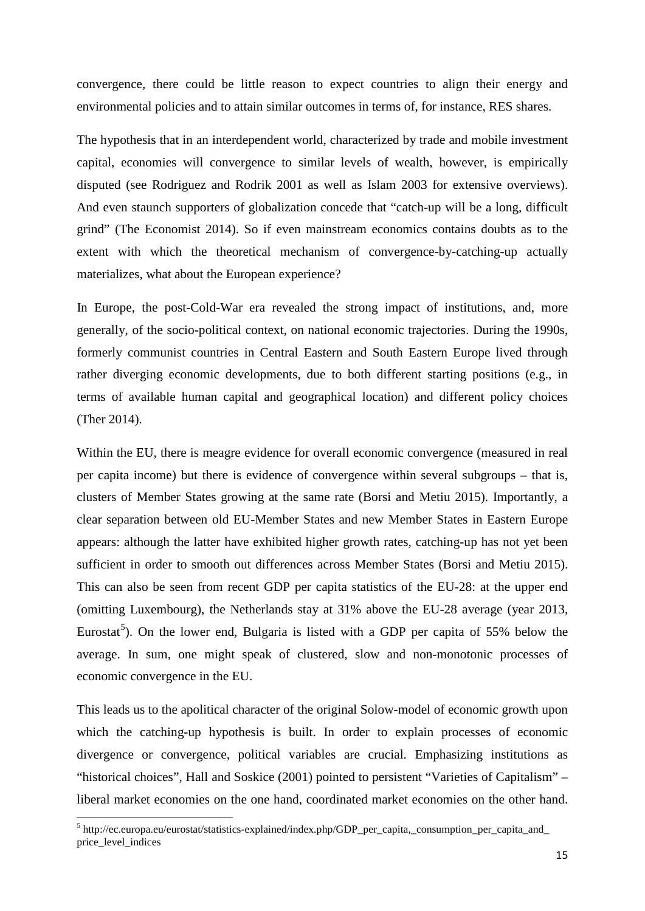convergence, there could be little reason to expect countries to align their energy and environmental policies and to attain similar outcomes in terms of, for instance, RES shares.

The hypothesis that in an interdependent world, characterized by trade and mobile investment capital, economies will convergence to similar levels of wealth, however, is empirically disputed (see Rodriguez and Rodrik 2001 as well as Islam 2003 for extensive overviews). And even staunch supporters of globalization concede that "catch-up will be a long, difficult grind" (The Economist 2014). So if even mainstream economics contains doubts as to the extent with which the theoretical mechanism of convergence-by-catching-up actually materializes, what about the European experience?

 terms of available human capital and geographical location) and different policy choices In Europe, the post-Cold-War era revealed the strong impact of institutions, and, more generally, of the socio-political context, on national economic trajectories. During the 1990s, formerly communist countries in Central Eastern and South Eastern Europe lived through rather diverging economic developments, due to both different starting positions (e.g., in (Ther 2014).

 This can also be seen from recent GDP per capita statistics of the EU-28: at the upper end Within the EU, there is meagre evidence for overall economic convergence (measured in real per capita income) but there is evidence of convergence within several subgroups – that is, clusters of Member States growing at the same rate (Borsi and Metiu 2015). Importantly, a clear separation between old EU-Member States and new Member States in Eastern Europe appears: although the latter have exhibited higher growth rates, catching-up has not yet been sufficient in order to smooth out differences across Member States (Borsi and Metiu 2015). (omitting Luxembourg), the Netherlands stay at 31% above the EU-28 average (year 2013, Eurostat<sup>[5](#page-15-0)</sup>). On the lower end, Bulgaria is listed with a GDP per capita of 55% below the average. In sum, one might speak of clustered, slow and non-monotonic processes of economic convergence in the EU.

This leads us to the apolitical character of the original Solow-model of economic growth upon which the catching-up hypothesis is built. In order to explain processes of economic divergence or convergence, political variables are crucial. Emphasizing institutions as "historical choices", Hall and Soskice (2001) pointed to persistent "Varieties of Capitalism" – liberal market economies on the one hand, coordinated market economies on the other hand.

**.** 

<span id="page-15-0"></span><sup>5</sup> http://ec.europa.eu/eurostat/statistics-explained/index.php/GDP\_per\_capita,\_consumption\_per\_capita\_and\_ price\_level\_indices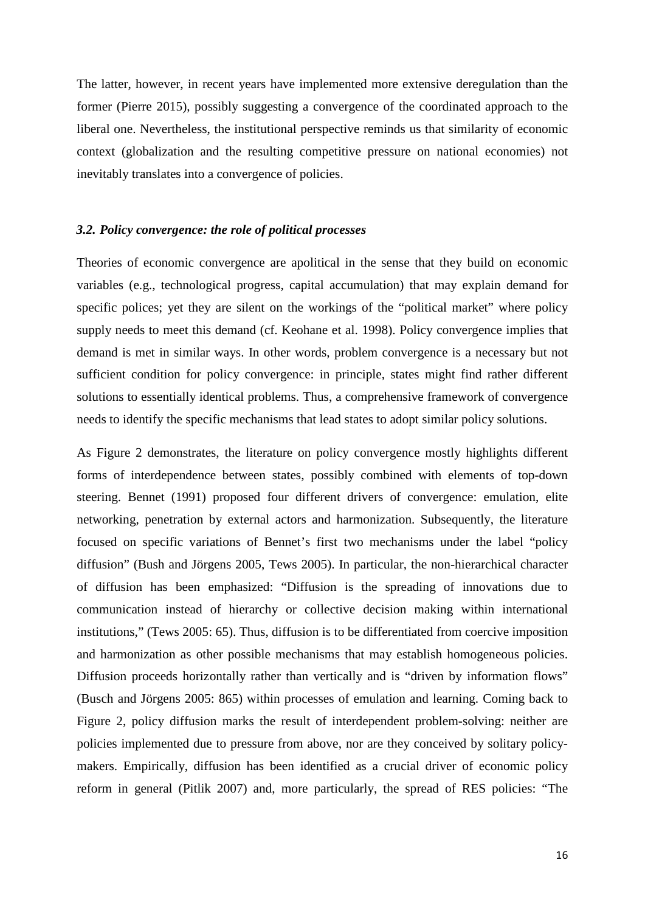The latter, however, in recent years have implemented more extensive deregulation than the former (Pierre 2015), possibly suggesting a convergence of the coordinated approach to the liberal one. Nevertheless, the institutional perspective reminds us that similarity of economic context (globalization and the resulting competitive pressure on national economies) not inevitably translates into a convergence of policies.

#### *3.2. Policy convergence: the role of political processes*

Theories of economic convergence are apolitical in the sense that they build on economic variables (e.g., technological progress, capital accumulation) that may explain demand for specific polices; yet they are silent on the workings of the "political market" where policy supply needs to meet this demand (cf. Keohane et al. 1998). Policy convergence implies that demand is met in similar ways. In other words, problem convergence is a necessary but not sufficient condition for policy convergence: in principle, states might find rather different solutions to essentially identical problems. Thus, a comprehensive framework of convergence needs to identify the specific mechanisms that lead states to adopt similar policy solutions.

 reform in general (Pitlik 2007) and, more particularly, the spread of RES policies: "The As Figure 2 demonstrates, the literature on policy convergence mostly highlights different forms of interdependence between states, possibly combined with elements of top-down steering. Bennet (1991) proposed four different drivers of convergence: emulation, elite networking, penetration by external actors and harmonization. Subsequently, the literature focused on specific variations of Bennet's first two mechanisms under the label "policy diffusion" (Bush and Jörgens 2005, Tews 2005). In particular, the non-hierarchical character of diffusion has been emphasized: "Diffusion is the spreading of innovations due to communication instead of hierarchy or collective decision making within international institutions," (Tews 2005: 65). Thus, diffusion is to be differentiated from coercive imposition and harmonization as other possible mechanisms that may establish homogeneous policies. Diffusion proceeds horizontally rather than vertically and is "driven by information flows" (Busch and Jörgens 2005: 865) within processes of emulation and learning. Coming back to Figure 2, policy diffusion marks the result of interdependent problem-solving: neither are policies implemented due to pressure from above, nor are they conceived by solitary policymakers. Empirically, diffusion has been identified as a crucial driver of economic policy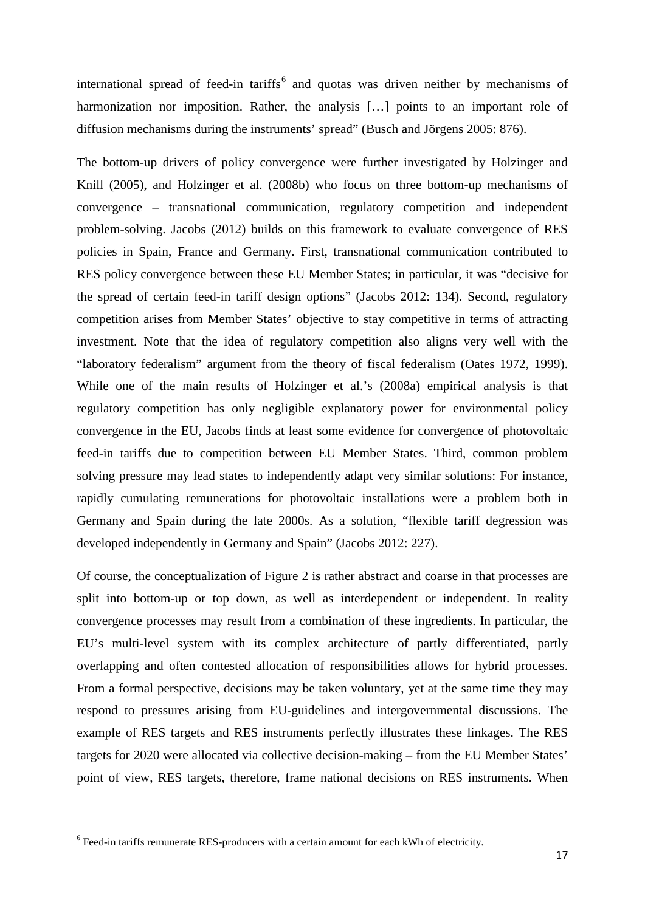international spread of feed-in tariffs<sup>6</sup> and quotas was driven neither by mechanisms of harmonization nor imposition. Rather, the analysis [...] points to an important role of diffusion mechanisms during the instruments' spread" (Busch and Jörgens 2005: 876).

 Knill (2005), and Holzinger et al. (2008b) who focus on three bottom-up mechanisms of "laboratory federalism" argument from the theory of fiscal federalism (Oates 1972, 1999). The bottom-up drivers of policy convergence were further investigated by Holzinger and convergence – transnational communication, regulatory competition and independent problem-solving. Jacobs (2012) builds on this framework to evaluate convergence of RES policies in Spain, France and Germany. First, transnational communication contributed to RES policy convergence between these EU Member States; in particular, it was "decisive for the spread of certain feed-in tariff design options" (Jacobs 2012: 134). Second, regulatory competition arises from Member States' objective to stay competitive in terms of attracting investment. Note that the idea of regulatory competition also aligns very well with the While one of the main results of Holzinger et al.'s (2008a) empirical analysis is that regulatory competition has only negligible explanatory power for environmental policy convergence in the EU, Jacobs finds at least some evidence for convergence of photovoltaic feed-in tariffs due to competition between EU Member States. Third, common problem solving pressure may lead states to independently adapt very similar solutions: For instance, rapidly cumulating remunerations for photovoltaic installations were a problem both in Germany and Spain during the late 2000s. As a solution, "flexible tariff degression was developed independently in Germany and Spain" (Jacobs 2012: 227).

 convergence processes may result from a combination of these ingredients. In particular, the Of course, the conceptualization of Figure 2 is rather abstract and coarse in that processes are split into bottom-up or top down, as well as interdependent or independent. In reality EU's multi-level system with its complex architecture of partly differentiated, partly overlapping and often contested allocation of responsibilities allows for hybrid processes. From a formal perspective, decisions may be taken voluntary, yet at the same time they may respond to pressures arising from EU-guidelines and intergovernmental discussions. The example of RES targets and RES instruments perfectly illustrates these linkages. The RES targets for 2020 were allocated via collective decision-making – from the EU Member States' point of view, RES targets, therefore, frame national decisions on RES instruments. When

 $\overline{a}$ 

<span id="page-17-0"></span><sup>6</sup> Feed-in tariffs remunerate RES-producers with a certain amount for each kWh of electricity.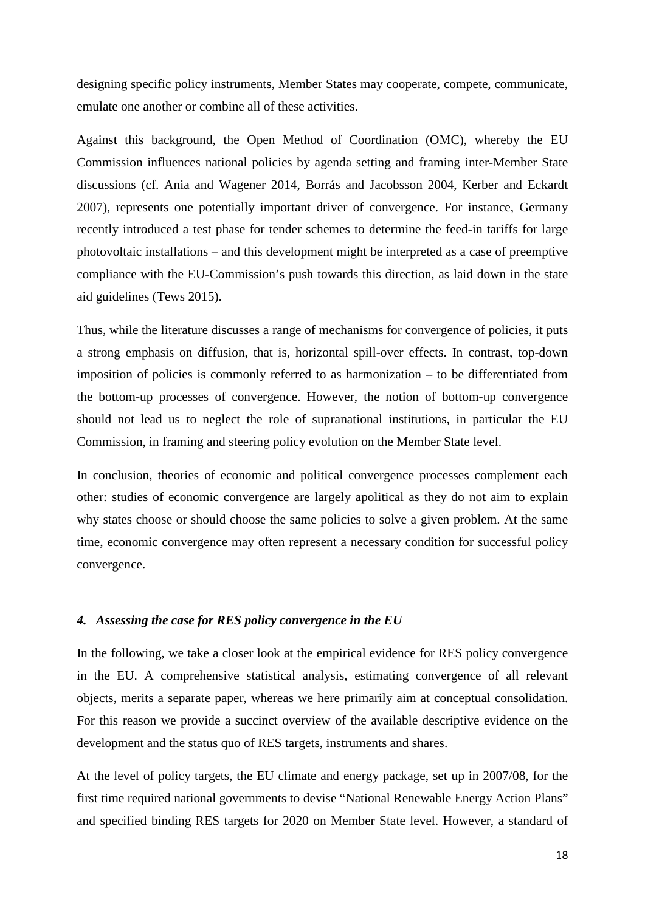emulate one another or combine all of these activities. designing specific policy instruments, Member States may cooperate, compete, communicate,

emulate one another or combine all of these activities.<br>Against this background, the Open Method of Coordination (OMC), whereby the EU Commission influences national policies by agenda setting and framing inter-Member State discussions (cf. Ania and Wagener 2014, Borrás and Jacobsson 2004, Kerber and Eckardt 2007), represents one potentially important driver of convergence. For instance, Germany recently introduced a test phase for tender schemes to determine the feed-in tariffs for large photovoltaic installations – and this development might be interpreted as a case of preemptive compliance with the EU-Commission's push towards this direction, as laid down in the state aid guidelines (Tews 2015).

Thus, while the literature discusses a range of mechanisms for convergence of policies, it puts a strong emphasis on diffusion, that is, horizontal spill-over effects. In contrast, top-down imposition of policies is commonly referred to as harmonization – to be differentiated from the bottom-up processes of convergence. However, the notion of bottom-up convergence should not lead us to neglect the role of supranational institutions, in particular the EU Commission, in framing and steering policy evolution on the Member State level.

In conclusion, theories of economic and political convergence processes complement each other: studies of economic convergence are largely apolitical as they do not aim to explain why states choose or should choose the same policies to solve a given problem. At the same time, economic convergence may often represent a necessary condition for successful policy convergence.

#### *4. Assessing the case for RES policy convergence in the EU*

 in the EU. A comprehensive statistical analysis, estimating convergence of all relevant In the following, we take a closer look at the empirical evidence for RES policy convergence objects, merits a separate paper, whereas we here primarily aim at conceptual consolidation. For this reason we provide a succinct overview of the available descriptive evidence on the development and the status quo of RES targets, instruments and shares.

At the level of policy targets, the EU climate and energy package, set up in 2007/08, for the first time required national governments to devise "National Renewable Energy Action Plans" and specified binding RES targets for 2020 on Member State level. However, a standard of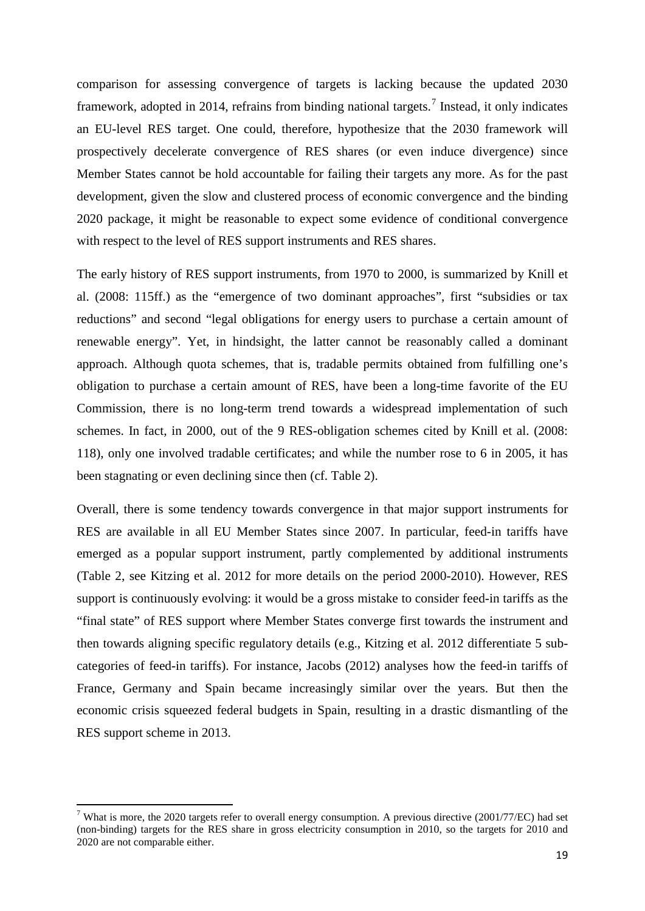comparison for assessing convergence of targets is lacking because the updated 2030 framework, adopted in 2014, refrains from binding national targets. [7](#page-19-0) Instead, it only indicates Member States cannot be hold accountable for failing their targets any more. As for the past an EU-level RES target. One could, therefore, hypothesize that the 2030 framework will prospectively decelerate convergence of RES shares (or even induce divergence) since development, given the slow and clustered process of economic convergence and the binding 2020 package, it might be reasonable to expect some evidence of conditional convergence with respect to the level of RES support instruments and RES shares.

 been stagnating or even declining since then (cf. Table 2). The early history of RES support instruments, from 1970 to 2000, is summarized by Knill et al. (2008: 115ff.) as the "emergence of two dominant approaches", first "subsidies or tax reductions" and second "legal obligations for energy users to purchase a certain amount of renewable energy". Yet, in hindsight, the latter cannot be reasonably called a dominant approach. Although quota schemes, that is, tradable permits obtained from fulfilling one's obligation to purchase a certain amount of RES, have been a long-time favorite of the EU Commission, there is no long-term trend towards a widespread implementation of such schemes. In fact, in 2000, out of the 9 RES-obligation schemes cited by Knill et al. (2008: 118), only one involved tradable certificates; and while the number rose to 6 in 2005, it has

 Overall, there is some tendency towards convergence in that major support instruments for RES are available in all EU Member States since 2007. In particular, feed-in tariffs have emerged as a popular support instrument, partly complemented by additional instruments support is continuously evolving: it would be a gross mistake to consider feed-in tariffs as the categories of feed-in tariffs). For instance, Jacobs (2012) analyses how the feed-in tariffs of (Table 2, see Kitzing et al. 2012 for more details on the period 2000-2010). However, RES "final state" of RES support where Member States converge first towards the instrument and then towards aligning specific regulatory details (e.g., Kitzing et al. 2012 differentiate 5 sub-France, Germany and Spain became increasingly similar over the years. But then the economic crisis squeezed federal budgets in Spain, resulting in a drastic dismantling of the RES support scheme in 2013.

**.** 

<span id="page-19-0"></span> (non-binding) targets for the RES share in gross electricity consumption in 2010, so the targets for 2010 and 2020 are not comparable either. <sup>7</sup> What is more, the 2020 targets refer to overall energy consumption. A previous directive (2001/77/EC) had set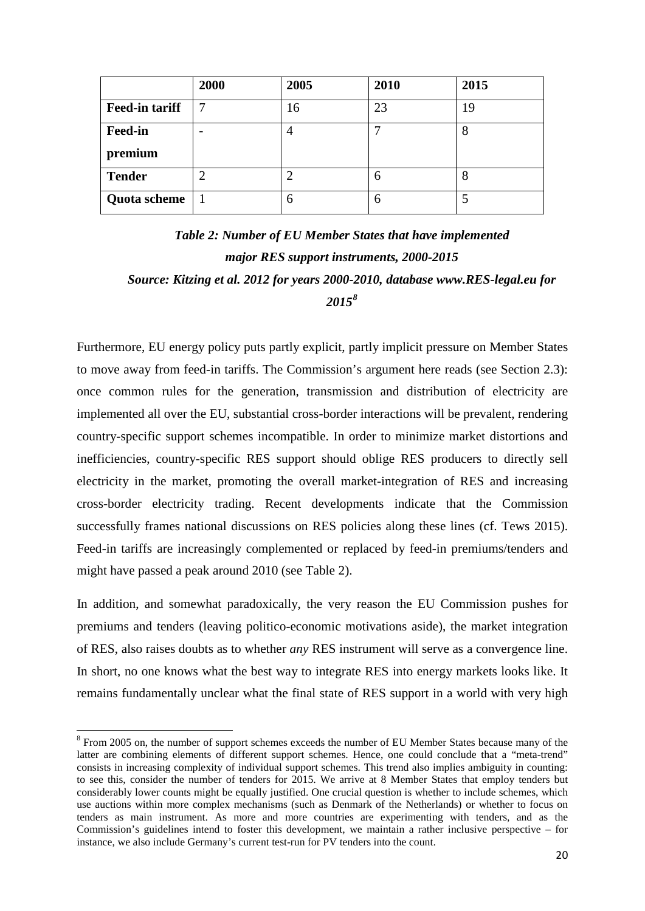|                       | 2000 | 2005 | 2010 | 2015 |
|-----------------------|------|------|------|------|
| <b>Feed-in tariff</b> |      | 16   | 23   | 19   |
| <b>Feed-in</b>        |      | 4    |      | Ω    |
| premium               |      |      |      |      |
| <b>Tender</b>         |      |      | 6    | 8    |
| <b>Quota scheme</b>   |      | 6    | 6    |      |

### *Table 2: Number of EU Member States that have implemented major RES support instruments, 2000-2015 Source: Kitzing et al. 2012 for years 2000-2010, database www.RES-legal.eu for 2015[8](#page-20-0)*

 once common rules for the generation, transmission and distribution of electricity are Furthermore, EU energy policy puts partly explicit, partly implicit pressure on Member States to move away from feed-in tariffs. The Commission's argument here reads (see Section 2.3): implemented all over the EU, substantial cross-border interactions will be prevalent, rendering country-specific support schemes incompatible. In order to minimize market distortions and inefficiencies, country-specific RES support should oblige RES producers to directly sell electricity in the market, promoting the overall market-integration of RES and increasing cross-border electricity trading. Recent developments indicate that the Commission successfully frames national discussions on RES policies along these lines (cf. Tews 2015). Feed-in tariffs are increasingly complemented or replaced by feed-in premiums/tenders and might have passed a peak around 2010 (see Table 2).

 of RES, also raises doubts as to whether *any* RES instrument will serve as a convergence line. remains fundamentally unclear what the final state of RES support in a world with very high In addition, and somewhat paradoxically, the very reason the EU Commission pushes for premiums and tenders (leaving politico-economic motivations aside), the market integration In short, no one knows what the best way to integrate RES into energy markets looks like. It

<span id="page-20-0"></span><sup>-</sup> consists in increasing complexity of individual support schemes. This trend also implies ambiguity in counting: use auctions within more complex mechanisms (such as Denmark of the Netherlands) or whether to focus on tenders as main instrument. As more and more countries are experimenting with tenders, and as the instance, we also include Germany's current test-run for PV tenders into the count. <sup>8</sup> From 2005 on, the number of support schemes exceeds the number of EU Member States because many of the latter are combining elements of different support schemes. Hence, one could conclude that a "meta-trend" to see this, consider the number of tenders for 2015. We arrive at 8 Member States that employ tenders but considerably lower counts might be equally justified. One crucial question is whether to include schemes, which Commission's guidelines intend to foster this development, we maintain a rather inclusive perspective – for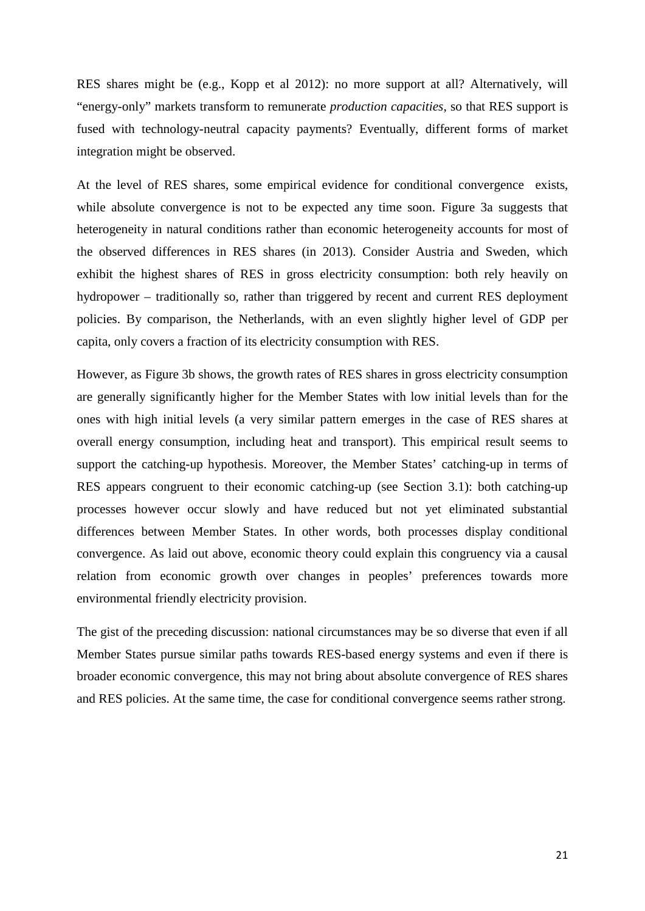RES shares might be (e.g., Kopp et al 2012): no more support at all? Alternatively, will "energy-only" markets transform to remunerate *production capacities*, so that RES support is fused with technology-neutral capacity payments? Eventually, different forms of market integration might be observed.

 hydropower – traditionally so, rather than triggered by recent and current RES deployment At the level of RES shares, some empirical evidence for conditional convergence exists, while absolute convergence is not to be expected any time soon. Figure 3a suggests that heterogeneity in natural conditions rather than economic heterogeneity accounts for most of the observed differences in RES shares (in 2013). Consider Austria and Sweden, which exhibit the highest shares of RES in gross electricity consumption: both rely heavily on policies. By comparison, the Netherlands, with an even slightly higher level of GDP per capita, only covers a fraction of its electricity consumption with RES.

 are generally significantly higher for the Member States with low initial levels than for the However, as Figure 3b shows, the growth rates of RES shares in gross electricity consumption ones with high initial levels (a very similar pattern emerges in the case of RES shares at overall energy consumption, including heat and transport). This empirical result seems to support the catching-up hypothesis. Moreover, the Member States' catching-up in terms of RES appears congruent to their economic catching-up (see Section 3.1): both catching-up processes however occur slowly and have reduced but not yet eliminated substantial differences between Member States. In other words, both processes display conditional convergence. As laid out above, economic theory could explain this congruency via a causal relation from economic growth over changes in peoples' preferences towards more environmental friendly electricity provision.

 The gist of the preceding discussion: national circumstances may be so diverse that even if all Member States pursue similar paths towards RES-based energy systems and even if there is broader economic convergence, this may not bring about absolute convergence of RES shares and RES policies. At the same time, the case for conditional convergence seems rather strong.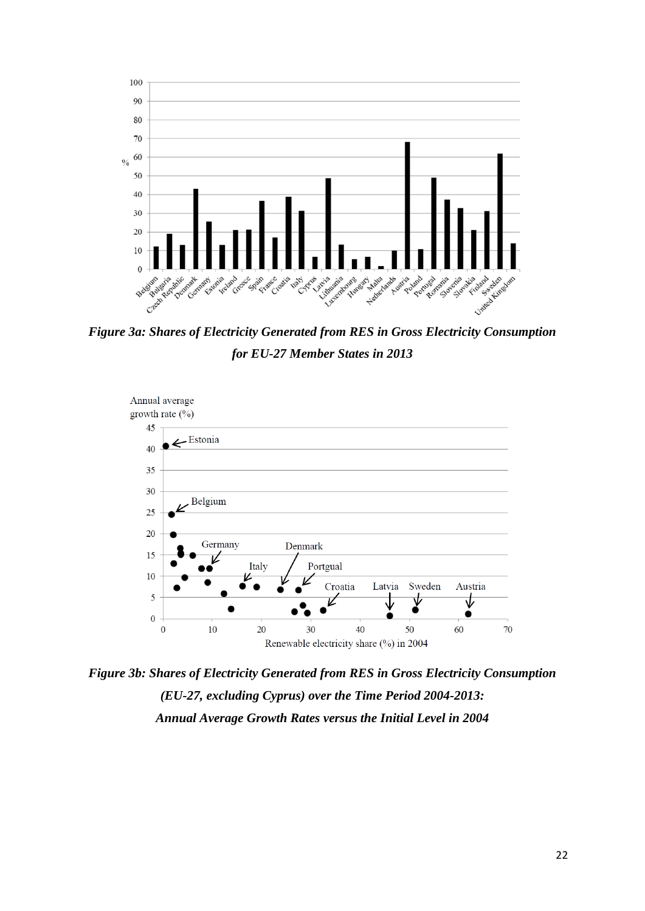

 *Figure 3a: Shares of Electricity Generated from RES in Gross Electricity Consumption for EU-27 Member States in 2013* 



 *(EU-27, excluding Cyprus) over the Time Period 2004-2013: Figure 3b: Shares of Electricity Generated from RES in Gross Electricity Consumption Annual Average Growth Rates versus the Initial Level in 2004*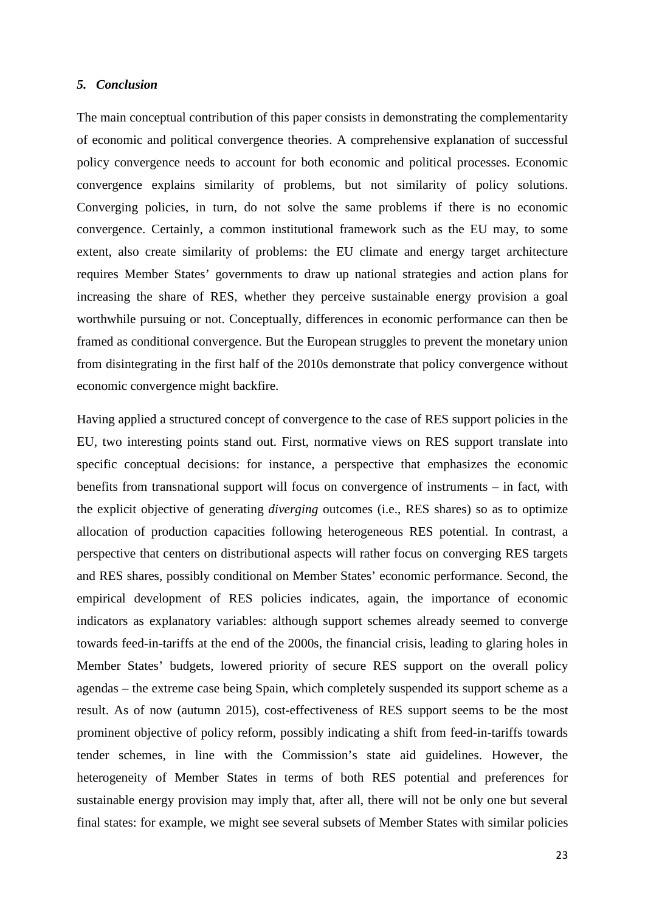#### *5. Conclusion*

 The main conceptual contribution of this paper consists in demonstrating the complementarity of economic and political convergence theories. A comprehensive explanation of successful policy convergence needs to account for both economic and political processes. Economic increasing the share of RES, whether they perceive sustainable energy provision a goal framed as conditional convergence. But the European struggles to prevent the monetary union economic convergence might backfire. convergence explains similarity of problems, but not similarity of policy solutions. Converging policies, in turn, do not solve the same problems if there is no economic convergence. Certainly, a common institutional framework such as the EU may, to some extent, also create similarity of problems: the EU climate and energy target architecture requires Member States' governments to draw up national strategies and action plans for worthwhile pursuing or not. Conceptually, differences in economic performance can then be from disintegrating in the first half of the 2010s demonstrate that policy convergence without

 EU, two interesting points stand out. First, normative views on RES support translate into the explicit objective of generating *diverging* outcomes (i.e., RES shares) so as to optimize perspective that centers on distributional aspects will rather focus on converging RES targets empirical development of RES policies indicates, again, the importance of economic Member States' budgets, lowered priority of secure RES support on the overall policy agendas – the extreme case being Spain, which completely suspended its support scheme as a tender schemes, in line with the Commission's state aid guidelines. However, the sustainable energy provision may imply that, after all, there will not be only one but several Having applied a structured concept of convergence to the case of RES support policies in the specific conceptual decisions: for instance, a perspective that emphasizes the economic benefits from transnational support will focus on convergence of instruments – in fact, with allocation of production capacities following heterogeneous RES potential. In contrast, a and RES shares, possibly conditional on Member States' economic performance. Second, the indicators as explanatory variables: although support schemes already seemed to converge towards feed-in-tariffs at the end of the 2000s, the financial crisis, leading to glaring holes in result. As of now (autumn 2015), cost-effectiveness of RES support seems to be the most prominent objective of policy reform, possibly indicating a shift from feed-in-tariffs towards heterogeneity of Member States in terms of both RES potential and preferences for final states: for example, we might see several subsets of Member States with similar policies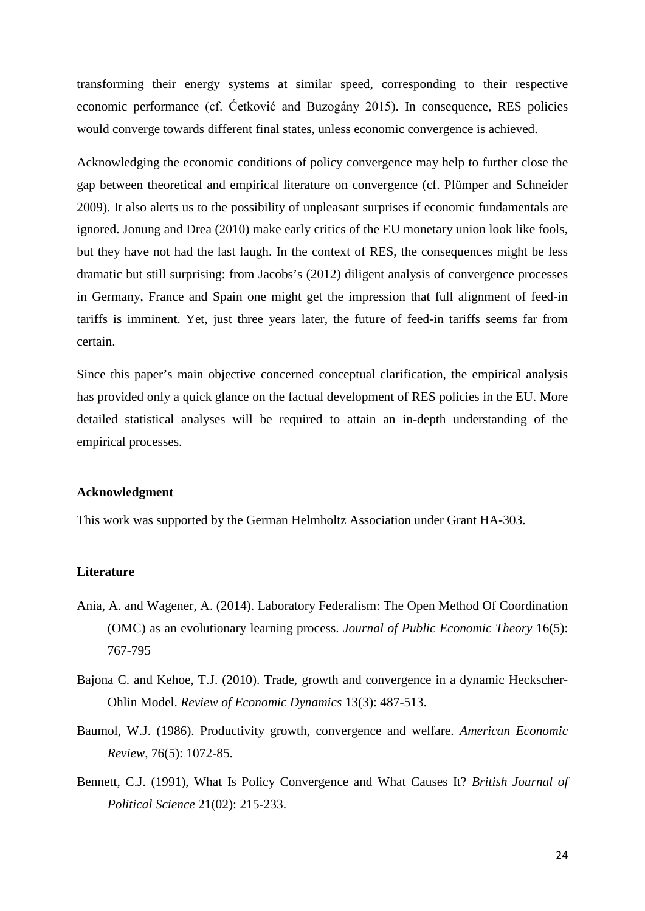transforming their energy systems at similar speed, corresponding to their respective economic performance (cf. Ćetković and Buzogány 2015). In consequence, RES policies would converge towards different final states, unless economic convergence is achieved.

 Acknowledging the economic conditions of policy convergence may help to further close the tariffs is imminent. Yet, just three years later, the future of feed-in tariffs seems far from gap between theoretical and empirical literature on convergence (cf. Plümper and Schneider 2009). It also alerts us to the possibility of unpleasant surprises if economic fundamentals are ignored. Jonung and Drea (2010) make early critics of the EU monetary union look like fools, but they have not had the last laugh. In the context of RES, the consequences might be less dramatic but still surprising: from Jacobs's (2012) diligent analysis of convergence processes in Germany, France and Spain one might get the impression that full alignment of feed-in certain.

 Since this paper's main objective concerned conceptual clarification, the empirical analysis empirical processes. has provided only a quick glance on the factual development of RES policies in the EU. More detailed statistical analyses will be required to attain an in-depth understanding of the

#### **Acknowledgment**

This work was supported by the German Helmholtz Association under Grant HA-303.

#### **Literature**

- (OMC) as an evolutionary learning process. *Journal of Public Economic Theory* 16(5): Ania, A. and Wagener, A. (2014). Laboratory Federalism: The Open Method Of Coordination 767-795
- Bajona C. and Kehoe, T.J. (2010). Trade, growth and convergence in a dynamic Heckscher-Ohlin Model. *Review of Economic Dynamics* 13(3): 487-513.
- Baumol, W.J. (1986). Productivity growth, convergence and welfare. *American Economic Review*, 76(5): 1072-85.
- Bennett, C.J. (1991), What Is Policy Convergence and What Causes It? *British Journal of Political Science* 21(02): 215-233.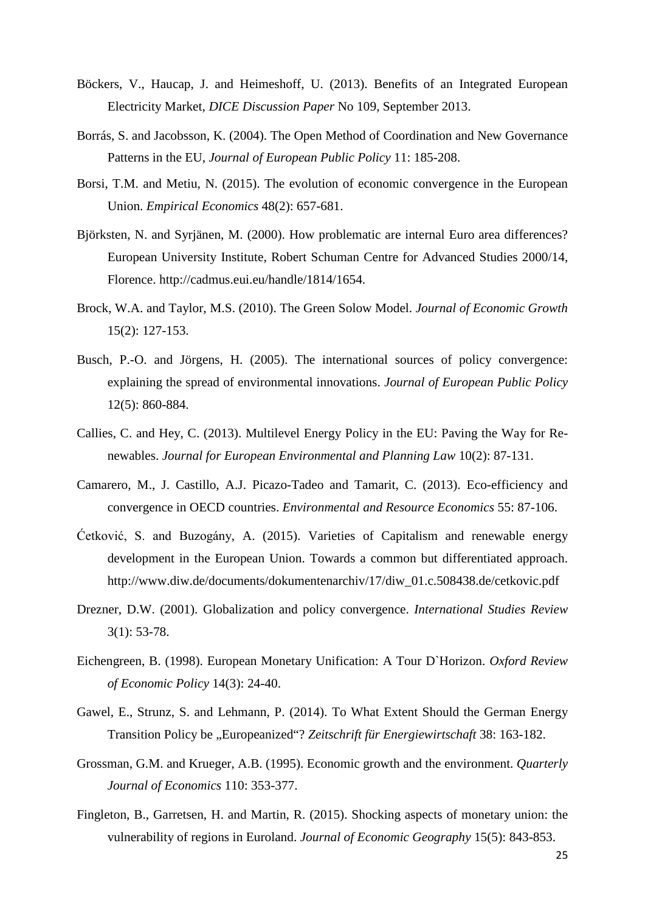- Böckers, V., Haucap, J. and Heimeshoff, U. (2013). Benefits of an Integrated European Electricity Market, *DICE Discussion Paper* No 109, September 2013.
- Borrás, S. and Jacobsson, K. (2004). The Open Method of Coordination and New Governance Patterns in the EU, *Journal of European Public Policy* 11: 185-208.
- Borsi, T.M. and Metiu, N. (2015). The evolution of economic convergence in the European Union. *Empirical Economics* 48(2): 657-681.
- Björksten, N. and Syrjänen, M. (2000). How problematic are internal Euro area differences? European University Institute, Robert Schuman Centre for Advanced Studies 2000/14, Florence. http://cadmus.eui.eu/handle/1814/1654.
- Brock, W.A. and Taylor, M.S. (2010). The Green Solow Model. *Journal of Economic Growth*  15(2): 127-153.
- Busch, P.-O. and Jörgens, H. (2005). The international sources of policy convergence: explaining the spread of environmental innovations. *Journal of European Public Policy*  12(5): 860-884.
- Callies, C. and Hey, C. (2013). Multilevel Energy Policy in the EU: Paving the Way for Renewables. *Journal for European Environmental and Planning Law* 10(2): 87-131.
- Camarero, M., J. Castillo, A.J. Picazo-Tadeo and Tamarit, C. (2013). Eco-efficiency and convergence in OECD countries. *Environmental and Resource Economics* 55: 87-106.
- http://www.diw.de/documents/dokumentenarchiv/17/diw\_01.c.508438.de/cetkovic.pdf Ćetković, S. and Buzogány, A. (2015). Varieties of Capitalism and renewable energy development in the European Union. Towards a common but differentiated approach.
- http://www.diw.de/documentenarchivide.org/Gokumentenarchiv/17/dividence.pdf Drezner, D.W. (2001). Globalization and policy convergence. *International Studies Review* 3(1): 53-78.
- Eichengreen, B. (1998). European Monetary Unification: A Tour D`Horizon. *Oxford Review of Economic Policy* 14(3): 24-40.
- Gawel, E., Strunz, S. and Lehmann, P. (2014). To What Extent Should the German Energy Transition Policy be "Europeanized"? *Zeitschrift für Energiewirtschaft* 38: 163-182.
- Grossman, G.M. and Krueger, A.B. (1995). Economic growth and the environment. *Quarterly Journal of Economics* 110: 353-377.
- Fingleton, B., Garretsen, H. and Martin, R. (2015). Shocking aspects of monetary union: the vulnerability of regions in Euroland. *Journal of Economic Geography* 15(5): 843-853.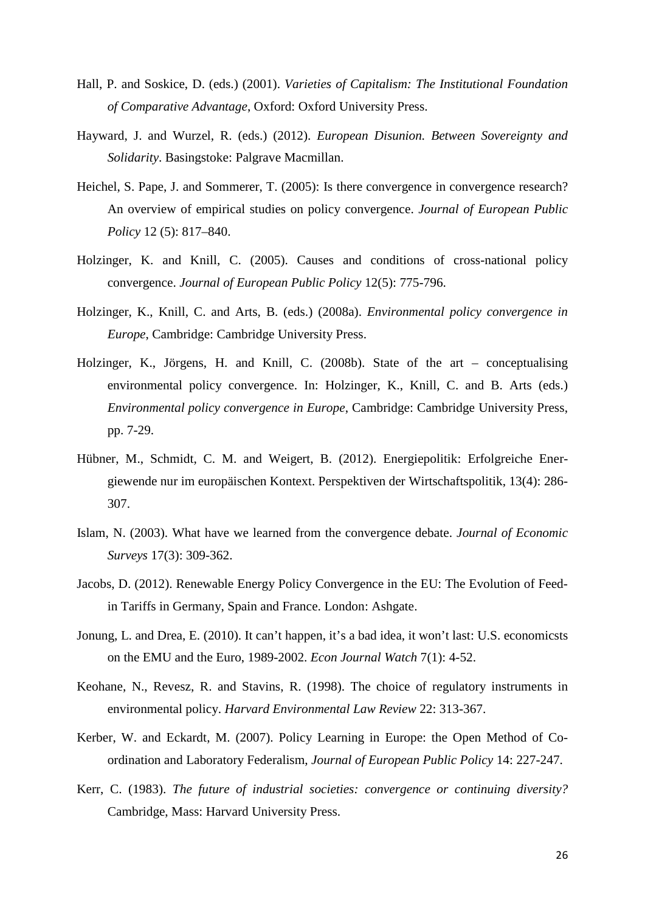- Hall, P. and Soskice, D. (eds.) (2001). *Varieties of Capitalism: The Institutional Foundation of Comparative Advantage*, Oxford: Oxford University Press.
- Hayward, J. and Wurzel, R. (eds.) (2012). *European Disunion. Between Sovereignty and Solidarity*. Basingstoke: Palgrave Macmillan.
- Heichel, S. Pape, J. and Sommerer, T. (2005): Is there convergence in convergence research? An overview of empirical studies on policy convergence. *Journal of European Public Policy* 12 (5): 817–840.
- Holzinger, K. and Knill, C. (2005). Causes and conditions of cross-national policy convergence. *Journal of European Public Policy* 12(5): 775-796.
- Holzinger, K., Knill, C. and Arts, B. (eds.) (2008a). *Environmental policy convergence in Europe*, Cambridge: Cambridge University Press.
- Holzinger, K., Jörgens, H. and Knill, C. (2008b). State of the art conceptualising environmental policy convergence. In: Holzinger, K., Knill, C. and B. Arts (eds.) *Environmental policy convergence in Europe*, Cambridge: Cambridge University Press, pp. 7-29.
- Hübner, M., Schmidt, C. M. and Weigert, B. (2012). Energiepolitik: Erfolgreiche Energiewende nur im europäischen Kontext. Perspektiven der Wirtschaftspolitik, 13(4): 286 307.
- Islam, N. (2003). What have we learned from the convergence debate. *Journal of Economic Surveys* 17(3): 309-362.
- in Tariffs in Germany, Spain and France. London: Ashgate. Jacobs, D. (2012). Renewable Energy Policy Convergence in the EU: The Evolution of Feed-
- on the EMU and the Euro, 1989-2002. *Econ Journal Watch* 7(1): 4-52. Jonung, L. and Drea, E. (2010). It can't happen, it's a bad idea, it won't last: U.S. economicsts
- Keohane, N., Revesz, R. and Stavins, R. (1998). The choice of regulatory instruments in environmental policy. *Harvard Environmental Law Review* 22: 313-367.
- Kerber, W. and Eckardt, M. (2007). Policy Learning in Europe: the Open Method of Coordination and Laboratory Federalism, *Journal of European Public Policy* 14: 227-247.
- Kerr, C. (1983). *The future of industrial societies: convergence or continuing diversity?*  Cambridge, Mass: Harvard University Press.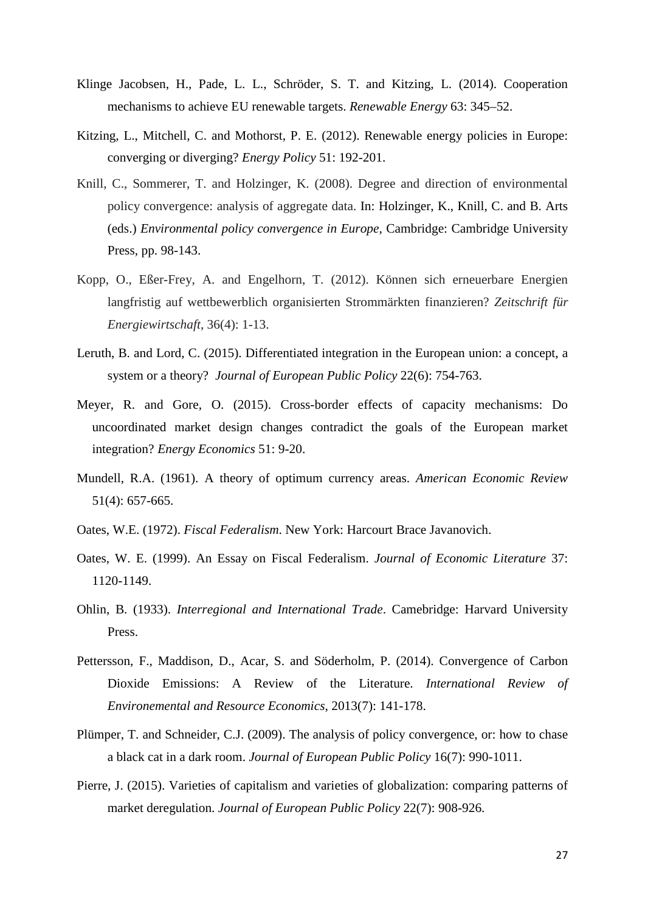- Klinge Jacobsen, H., Pade, L. L., Schröder, S. T. and Kitzing, L. (2014). Cooperation mechanisms to achieve EU renewable targets. *Renewable Energy* 63: 345–52.
- Kitzing, L., Mitchell, C. and Mothorst, P. E. (2012). Renewable energy policies in Europe: converging or diverging? *Energy Policy* 51: 192-201.
- Knill, C., Sommerer, T. and Holzinger, K. (2008). Degree and direction of environmental policy convergence: analysis of aggregate data. In: Holzinger, K., Knill, C. and B. Arts (eds.) *Environmental policy convergence in Europe*, Cambridge: Cambridge University Press, pp. 98-143.
- Kopp, O., Eßer-Frey, A. and Engelhorn, T. (2012). Können sich erneuerbare Energien langfristig auf wettbewerblich organisierten Strommärkten finanzieren? *Zeitschrift für Energiewirtschaft*, 36(4): 1-13.
- system or a theory? *Journal of European Public Policy* 22(6): 754-763. Leruth, B. and Lord, C. (2015). Differentiated integration in the European union: a concept, a
- Meyer, R. and Gore, O. (2015). Cross-border effects of capacity mechanisms: Do uncoordinated market design changes contradict the goals of the European market integration? *Energy Economics* 51: 9-20.
- Mundell, R.A. (1961). A theory of optimum currency areas. *American Economic Review*  51(4): 657-665.
- Oates, W.E. (1972). *Fiscal Federalism*. New York: Harcourt Brace Javanovich.
- Oates, W. E. (1999). An Essay on Fiscal Federalism. *Journal of Economic Literature* 37: 1120-1149.
- Ohlin, B. (1933). *Interregional and International Trade*. Camebridge: Harvard University Press.
- Dioxide Emissions: A Review of the Literature. *International Review of*  Pettersson, F., Maddison, D., Acar, S. and Söderholm, P. (2014). Convergence of Carbon *Environemental and Resource Economics*, 2013(7): 141-178.
- Plümper, T. and Schneider, C.J. (2009). The analysis of policy convergence, or: how to chase a black cat in a dark room. *Journal of European Public Policy* 16(7): 990-1011.
- Pierre, J. (2015). Varieties of capitalism and varieties of globalization: comparing patterns of market deregulation. *Journal of European Public Policy* 22(7): 908-926.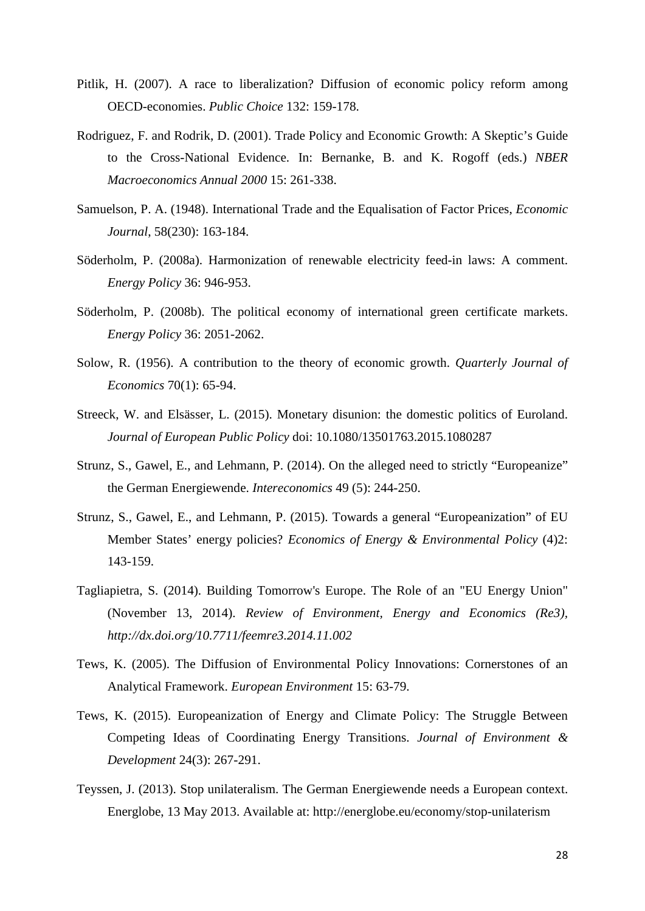- **OECD-economies.** *Public Choice* 132: 159-178. Pitlik, H. (2007). A race to liberalization? Diffusion of economic policy reform among
- to the Cross-National Evidence. In: Bernanke, B. and K. Rogoff (eds.) *NBER*  Rodriguez, F. and Rodrik, D. (2001). Trade Policy and Economic Growth: A Skeptic's Guide *Macroeconomics Annual 2000* 15: 261-338.
- Samuelson, P. A. (1948). International Trade and the Equalisation of Factor Prices, *Economic Journal*, 58(230): 163-184.
- Söderholm, P. (2008a). Harmonization of renewable electricity feed-in laws: A comment. *Energy Policy* 36: 946-953.
- Söderholm, P. (2008b). The political economy of international green certificate markets. *Energy Policy* 36: 2051-2062.
- Solow, R. (1956). A contribution to the theory of economic growth. *Quarterly Journal of Economics* 70(1): 65-94.
- Streeck, W. and Elsässer, L. (2015). Monetary disunion: the domestic politics of Euroland. *Journal of European Public Policy* doi: 10.1080/13501763.2015.1080287
- Strunz, S., Gawel, E., and Lehmann, P. (2014). On the alleged need to strictly "Europeanize" the German Energiewende. *[Intereconomics](http://link.springer.com/journal/10272)* 49 (5): 244-250.
- Member States' energy policies? *Economics of Energy & Environmental Policy* (4)2: Strunz, S., Gawel, E., and Lehmann, P. (2015). Towards a general "Europeanization" of EU 143-159.
- Tagliapietra, S. (2014). Building Tomorrow's Europe. The Role of an "EU Energy Union" (November 13, 2014). *Review of Environment, Energy and Economics (Re3), http://dx.doi.org/10.7711/feemre3.2014.11.002*
- Tews, K. (2005). The Diffusion of Environmental Policy Innovations: Cornerstones of an Analytical Framework. *European Environment* 15: 63-79.
- Competing Ideas of Coordinating Energy Transitions. *Journal of Environment &*  Tews, K. (2015). Europeanization of Energy and Climate Policy: The Struggle Between *Development* 24(3): 267-291.
- Teyssen, J. (2013). Stop unilateralism. The German Energiewende needs a European context. Energlobe, 13 May 2013. Available at: http://energlobe.eu/economy/stop-unilaterism